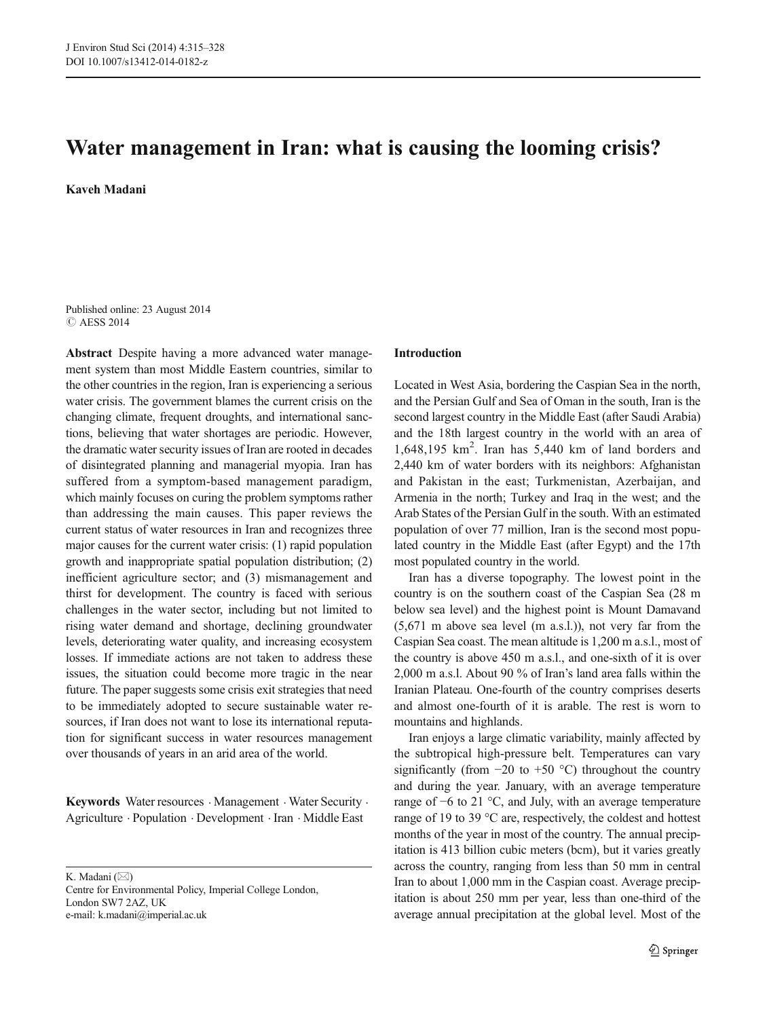# Water management in Iran: what is causing the looming crisis?

Kaveh Madani

Published online: 23 August 2014 **C AESS 2014** 

Abstract Despite having a more advanced water management system than most Middle Eastern countries, similar to the other countries in the region, Iran is experiencing a serious water crisis. The government blames the current crisis on the changing climate, frequent droughts, and international sanctions, believing that water shortages are periodic. However, the dramatic water security issues of Iran are rooted in decades of disintegrated planning and managerial myopia. Iran has suffered from a symptom-based management paradigm, which mainly focuses on curing the problem symptoms rather than addressing the main causes. This paper reviews the current status of water resources in Iran and recognizes three major causes for the current water crisis: (1) rapid population growth and inappropriate spatial population distribution; (2) inefficient agriculture sector; and (3) mismanagement and thirst for development. The country is faced with serious challenges in the water sector, including but not limited to rising water demand and shortage, declining groundwater levels, deteriorating water quality, and increasing ecosystem losses. If immediate actions are not taken to address these issues, the situation could become more tragic in the near future. The paper suggests some crisis exit strategies that need to be immediately adopted to secure sustainable water resources, if Iran does not want to lose its international reputation for significant success in water resources management over thousands of years in an arid area of the world.

Keywords Water resources . Management . Water Security . Agriculture . Population . Development . Iran . Middle East

K. Madani  $(\boxtimes)$ Centre for Environmental Policy, Imperial College London, London SW7 2AZ, UK e-mail: k.madani@imperial.ac.uk

## Introduction

Located in West Asia, bordering the Caspian Sea in the north, and the Persian Gulf and Sea of Oman in the south, Iran is the second largest country in the Middle East (after Saudi Arabia) and the 18th largest country in the world with an area of 1,648,195 km<sup>2</sup> . Iran has 5,440 km of land borders and 2,440 km of water borders with its neighbors: Afghanistan and Pakistan in the east; Turkmenistan, Azerbaijan, and Armenia in the north; Turkey and Iraq in the west; and the Arab States of the Persian Gulf in the south. With an estimated population of over 77 million, Iran is the second most populated country in the Middle East (after Egypt) and the 17th most populated country in the world.

Iran has a diverse topography. The lowest point in the country is on the southern coast of the Caspian Sea (28 m below sea level) and the highest point is Mount Damavand (5,671 m above sea level (m a.s.l.)), not very far from the Caspian Sea coast. The mean altitude is 1,200 m a.s.l., most of the country is above 450 m a.s.l., and one-sixth of it is over 2,000 m a.s.l. About 90 % of Iran's land area falls within the Iranian Plateau. One-fourth of the country comprises deserts and almost one-fourth of it is arable. The rest is worn to mountains and highlands.

Iran enjoys a large climatic variability, mainly affected by the subtropical high-pressure belt. Temperatures can vary significantly (from  $-20$  to  $+50$  °C) throughout the country and during the year. January, with an average temperature range of −6 to 21 °C, and July, with an average temperature range of 19 to 39 °C are, respectively, the coldest and hottest months of the year in most of the country. The annual precipitation is 413 billion cubic meters (bcm), but it varies greatly across the country, ranging from less than 50 mm in central Iran to about 1,000 mm in the Caspian coast. Average precipitation is about 250 mm per year, less than one-third of the average annual precipitation at the global level. Most of the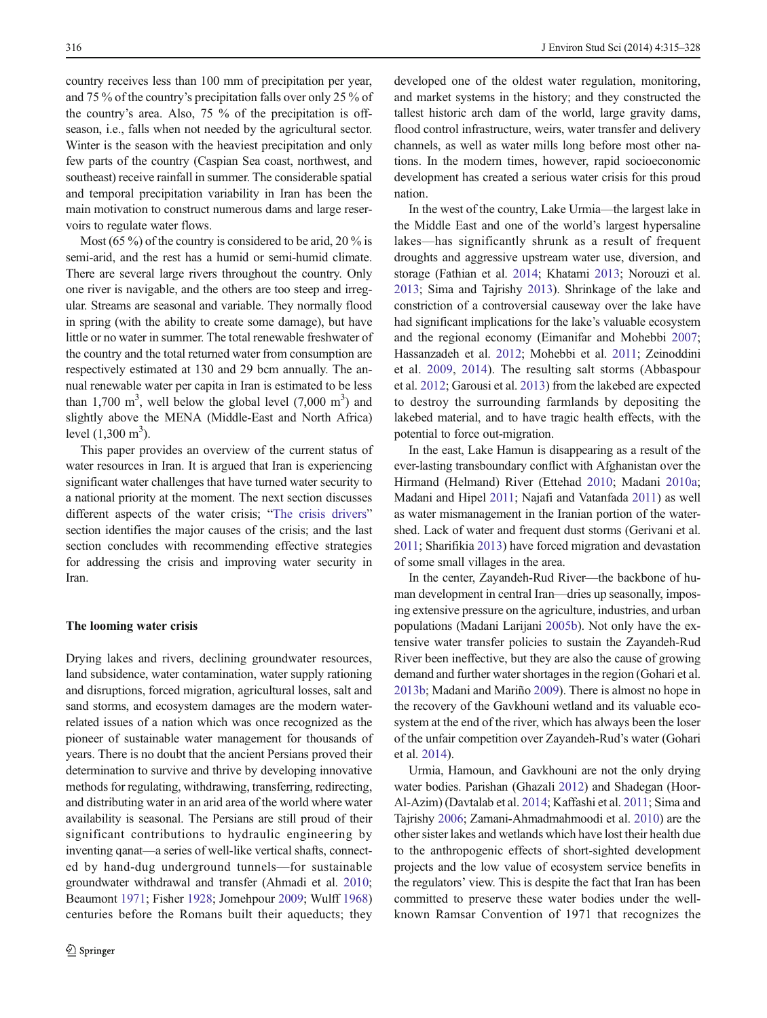country receives less than 100 mm of precipitation per year, and 75 % of the country's precipitation falls over only 25 % of the country's area. Also, 75 % of the precipitation is offseason, i.e., falls when not needed by the agricultural sector. Winter is the season with the heaviest precipitation and only few parts of the country (Caspian Sea coast, northwest, and southeast) receive rainfall in summer. The considerable spatial and temporal precipitation variability in Iran has been the main motivation to construct numerous dams and large reservoirs to regulate water flows.

Most (65 %) of the country is considered to be arid, 20 % is semi-arid, and the rest has a humid or semi-humid climate. There are several large rivers throughout the country. Only one river is navigable, and the others are too steep and irregular. Streams are seasonal and variable. They normally flood in spring (with the ability to create some damage), but have little or no water in summer. The total renewable freshwater of the country and the total returned water from consumption are respectively estimated at 130 and 29 bcm annually. The annual renewable water per capita in Iran is estimated to be less than 1,700  $\text{m}^3$ , well below the global level (7,000  $\text{m}^3$ ) and slightly above the MENA (Middle-East and North Africa) level  $(1,300 \text{ m}^3)$ .

This paper provides an overview of the current status of water resources in Iran. It is argued that Iran is experiencing significant water challenges that have turned water security to a national priority at the moment. The next section discusses different aspects of the water crisis; "[The crisis drivers](#page-4-0)" section identifies the major causes of the crisis; and the last section concludes with recommending effective strategies for addressing the crisis and improving water security in Iran.

#### The looming water crisis

Drying lakes and rivers, declining groundwater resources, land subsidence, water contamination, water supply rationing and disruptions, forced migration, agricultural losses, salt and sand storms, and ecosystem damages are the modern waterrelated issues of a nation which was once recognized as the pioneer of sustainable water management for thousands of years. There is no doubt that the ancient Persians proved their determination to survive and thrive by developing innovative methods for regulating, withdrawing, transferring, redirecting, and distributing water in an arid area of the world where water availability is seasonal. The Persians are still proud of their significant contributions to hydraulic engineering by inventing qanat—a series of well-like vertical shafts, connected by hand-dug underground tunnels—for sustainable groundwater withdrawal and transfer (Ahmadi et al. [2010](#page-9-0); Beaumont [1971](#page-9-0); Fisher [1928;](#page-10-0) Jomehpour [2009;](#page-11-0) Wulff [1968\)](#page-13-0) centuries before the Romans built their aqueducts; they

developed one of the oldest water regulation, monitoring, and market systems in the history; and they constructed the tallest historic arch dam of the world, large gravity dams, flood control infrastructure, weirs, water transfer and delivery channels, as well as water mills long before most other nations. In the modern times, however, rapid socioeconomic development has created a serious water crisis for this proud nation.

In the west of the country, Lake Urmia—the largest lake in the Middle East and one of the world's largest hypersaline lakes—has significantly shrunk as a result of frequent droughts and aggressive upstream water use, diversion, and storage (Fathian et al. [2014;](#page-10-0) Khatami [2013](#page-11-0); Norouzi et al. [2013;](#page-12-0) Sima and Tajrishy [2013](#page-13-0)). Shrinkage of the lake and constriction of a controversial causeway over the lake have had significant implications for the lake's valuable ecosystem and the regional economy (Eimanifar and Mohebbi [2007;](#page-10-0) Hassanzadeh et al. [2012;](#page-10-0) Mohebbi et al. [2011;](#page-12-0) Zeinoddini et al. [2009,](#page-13-0) [2014\)](#page-13-0). The resulting salt storms (Abbaspour et al. [2012](#page-9-0); Garousi et al. [2013\)](#page-10-0) from the lakebed are expected to destroy the surrounding farmlands by depositing the lakebed material, and to have tragic health effects, with the potential to force out-migration.

In the east, Lake Hamun is disappearing as a result of the ever-lasting transboundary conflict with Afghanistan over the Hirmand (Helmand) River (Ettehad [2010;](#page-10-0) Madani [2010a;](#page-11-0) Madani and Hipel [2011;](#page-11-0) Najafi and Vatanfada [2011](#page-12-0)) as well as water mismanagement in the Iranian portion of the watershed. Lack of water and frequent dust storms (Gerivani et al. [2011](#page-10-0); Sharifikia [2013](#page-12-0)) have forced migration and devastation of some small villages in the area.

In the center, Zayandeh-Rud River—the backbone of human development in central Iran—dries up seasonally, imposing extensive pressure on the agriculture, industries, and urban populations (Madani Larijani [2005b](#page-11-0)). Not only have the extensive water transfer policies to sustain the Zayandeh-Rud River been ineffective, but they are also the cause of growing demand and further water shortages in the region (Gohari et al. [2013b;](#page-10-0) Madani and Mariño [2009](#page-11-0)). There is almost no hope in the recovery of the Gavkhouni wetland and its valuable ecosystem at the end of the river, which has always been the loser of the unfair competition over Zayandeh-Rud's water (Gohari et al. [2014](#page-10-0)).

Urmia, Hamoun, and Gavkhouni are not the only drying water bodies. Parishan (Ghazali [2012\)](#page-10-0) and Shadegan (Hoor-Al-Azim) (Davtalab et al. [2014](#page-9-0); Kaffashi et al. [2011;](#page-11-0) Sima and Tajrishy [2006;](#page-12-0) Zamani-Ahmadmahmoodi et al. [2010](#page-13-0)) are the other sister lakes and wetlands which have lost their health due to the anthropogenic effects of short-sighted development projects and the low value of ecosystem service benefits in the regulators' view. This is despite the fact that Iran has been committed to preserve these water bodies under the wellknown Ramsar Convention of 1971 that recognizes the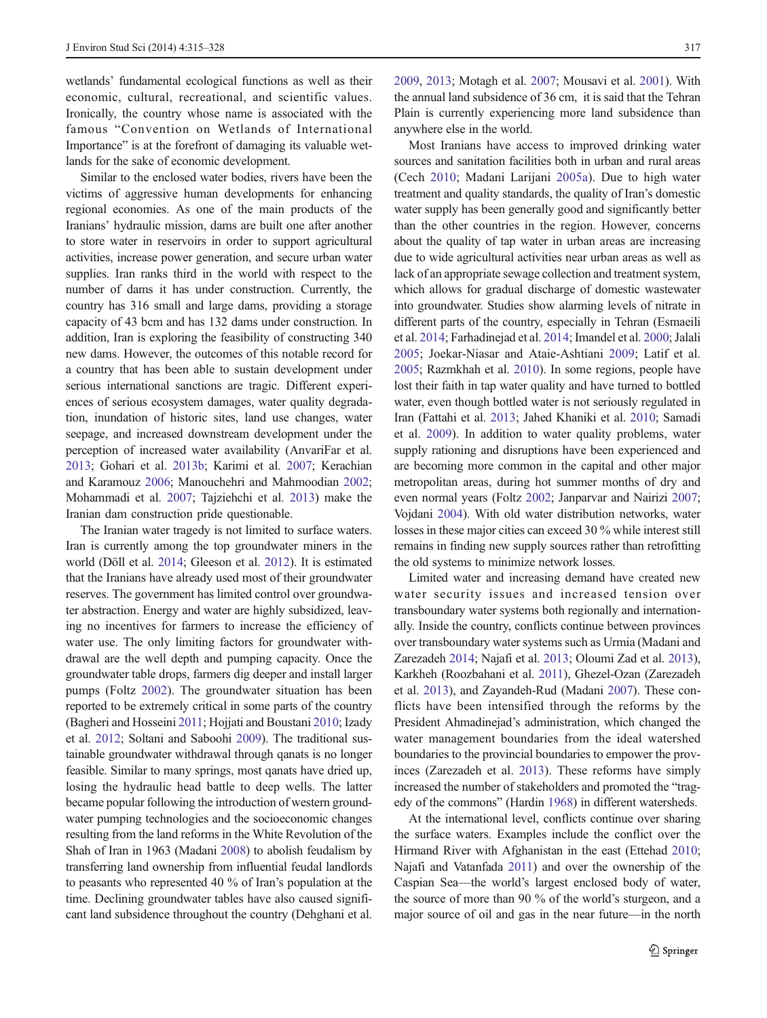wetlands' fundamental ecological functions as well as their economic, cultural, recreational, and scientific values. Ironically, the country whose name is associated with the famous "Convention on Wetlands of International Importance" is at the forefront of damaging its valuable wetlands for the sake of economic development.

Similar to the enclosed water bodies, rivers have been the victims of aggressive human developments for enhancing regional economies. As one of the main products of the Iranians' hydraulic mission, dams are built one after another to store water in reservoirs in order to support agricultural activities, increase power generation, and secure urban water supplies. Iran ranks third in the world with respect to the number of dams it has under construction. Currently, the country has 316 small and large dams, providing a storage capacity of 43 bcm and has 132 dams under construction. In addition, Iran is exploring the feasibility of constructing 340 new dams. However, the outcomes of this notable record for a country that has been able to sustain development under serious international sanctions are tragic. Different experiences of serious ecosystem damages, water quality degradation, inundation of historic sites, land use changes, water seepage, and increased downstream development under the perception of increased water availability (AnvariFar et al. [2013;](#page-9-0) Gohari et al. [2013b;](#page-10-0) Karimi et al. [2007](#page-11-0); Kerachian and Karamouz [2006](#page-11-0); Manouchehri and Mahmoodian [2002](#page-12-0); Mohammadi et al. [2007](#page-12-0); Tajziehchi et al. [2013\)](#page-13-0) make the Iranian dam construction pride questionable.

The Iranian water tragedy is not limited to surface waters. Iran is currently among the top groundwater miners in the world (Döll et al. [2014](#page-10-0); Gleeson et al. [2012](#page-10-0)). It is estimated that the Iranians have already used most of their groundwater reserves. The government has limited control over groundwater abstraction. Energy and water are highly subsidized, leaving no incentives for farmers to increase the efficiency of water use. The only limiting factors for groundwater withdrawal are the well depth and pumping capacity. Once the groundwater table drops, farmers dig deeper and install larger pumps (Foltz [2002\)](#page-10-0). The groundwater situation has been reported to be extremely critical in some parts of the country (Bagheri and Hosseini [2011;](#page-9-0) Hojjati and Boustani [2010;](#page-10-0) Izady et al. [2012;](#page-10-0) Soltani and Saboohi [2009](#page-13-0)). The traditional sustainable groundwater withdrawal through qanats is no longer feasible. Similar to many springs, most qanats have dried up, losing the hydraulic head battle to deep wells. The latter became popular following the introduction of western groundwater pumping technologies and the socioeconomic changes resulting from the land reforms in the White Revolution of the Shah of Iran in 1963 (Madani [2008\)](#page-11-0) to abolish feudalism by transferring land ownership from influential feudal landlords to peasants who represented 40 % of Iran's population at the time. Declining groundwater tables have also caused significant land subsidence throughout the country (Dehghani et al.

[2009,](#page-9-0) [2013;](#page-9-0) Motagh et al. [2007;](#page-12-0) Mousavi et al. [2001](#page-12-0)). With the annual land subsidence of 36 cm, it is said that the Tehran Plain is currently experiencing more land subsidence than anywhere else in the world.

Most Iranians have access to improved drinking water sources and sanitation facilities both in urban and rural areas (Cech [2010](#page-9-0); Madani Larijani [2005a\)](#page-11-0). Due to high water treatment and quality standards, the quality of Iran's domestic water supply has been generally good and significantly better than the other countries in the region. However, concerns about the quality of tap water in urban areas are increasing due to wide agricultural activities near urban areas as well as lack of an appropriate sewage collection and treatment system, which allows for gradual discharge of domestic wastewater into groundwater. Studies show alarming levels of nitrate in different parts of the country, especially in Tehran (Esmaeili et al. [2014;](#page-10-0) Farhadinejad et al. [2014;](#page-10-0) Imandel et al. [2000;](#page-10-0) Jalali [2005](#page-10-0); Joekar-Niasar and Ataie-Ashtiani [2009](#page-11-0); Latif et al. [2005;](#page-11-0) Razmkhah et al. [2010\)](#page-12-0). In some regions, people have lost their faith in tap water quality and have turned to bottled water, even though bottled water is not seriously regulated in Iran (Fattahi et al. [2013;](#page-10-0) Jahed Khaniki et al. [2010](#page-10-0); Samadi et al. [2009\)](#page-12-0). In addition to water quality problems, water supply rationing and disruptions have been experienced and are becoming more common in the capital and other major metropolitan areas, during hot summer months of dry and even normal years (Foltz [2002;](#page-10-0) Janparvar and Nairizi [2007;](#page-11-0) Vojdani [2004](#page-13-0)). With old water distribution networks, water losses in these major cities can exceed 30 % while interest still remains in finding new supply sources rather than retrofitting the old systems to minimize network losses.

Limited water and increasing demand have created new water security issues and increased tension over transboundary water systems both regionally and internationally. Inside the country, conflicts continue between provinces over transboundary water systems such as Urmia (Madani and Zarezadeh [2014;](#page-11-0) Najafi et al. [2013;](#page-12-0) Oloumi Zad et al. [2013\)](#page-12-0), Karkheh (Roozbahani et al. [2011\)](#page-12-0), Ghezel-Ozan (Zarezadeh et al. [2013\)](#page-13-0), and Zayandeh-Rud (Madani [2007\)](#page-11-0). These conflicts have been intensified through the reforms by the President Ahmadinejad's administration, which changed the water management boundaries from the ideal watershed boundaries to the provincial boundaries to empower the provinces (Zarezadeh et al. [2013\)](#page-13-0). These reforms have simply increased the number of stakeholders and promoted the "tragedy of the commons" (Hardin [1968](#page-10-0)) in different watersheds.

At the international level, conflicts continue over sharing the surface waters. Examples include the conflict over the Hirmand River with Afghanistan in the east (Ettehad [2010;](#page-10-0) Najafi and Vatanfada [2011\)](#page-12-0) and over the ownership of the Caspian Sea—the world's largest enclosed body of water, the source of more than 90 % of the world's sturgeon, and a major source of oil and gas in the near future—in the north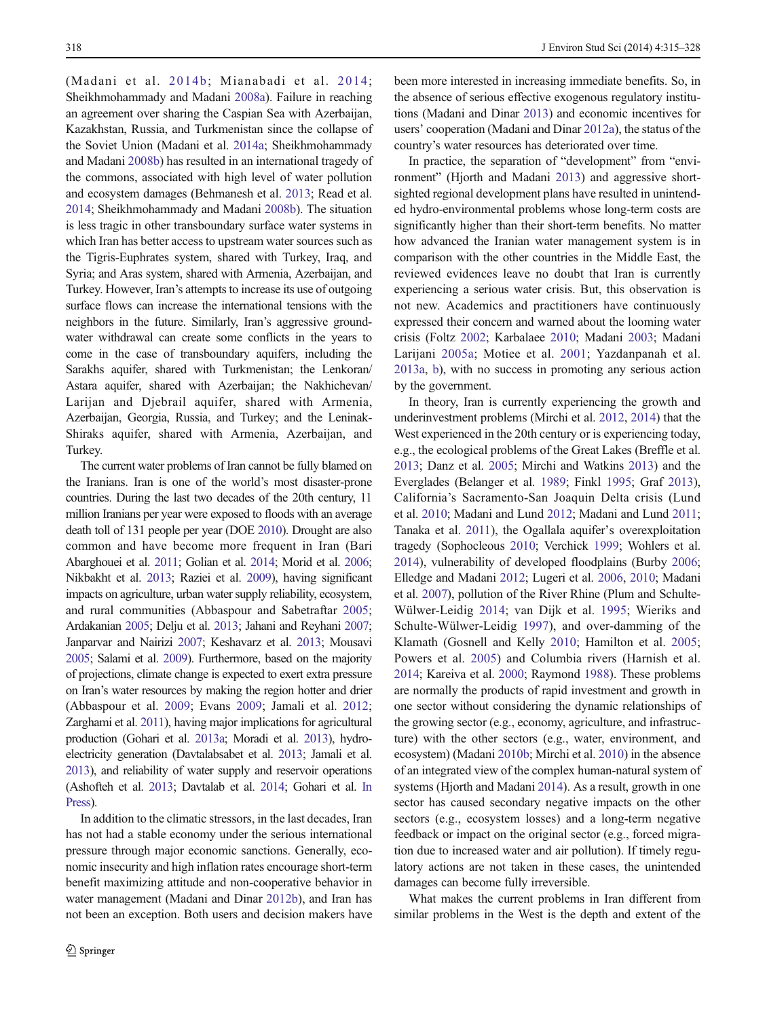(Madani et al. [2014b](#page-11-0); Mianabadi et al. [2014](#page-12-0); Sheikhmohammady and Madani [2008a](#page-12-0)). Failure in reaching an agreement over sharing the Caspian Sea with Azerbaijan, Kazakhstan, Russia, and Turkmenistan since the collapse of the Soviet Union (Madani et al. [2014a](#page-11-0); Sheikhmohammady and Madani [2008b\)](#page-12-0) has resulted in an international tragedy of the commons, associated with high level of water pollution and ecosystem damages (Behmanesh et al. [2013](#page-9-0); Read et al. [2014;](#page-12-0) Sheikhmohammady and Madani [2008b\)](#page-12-0). The situation is less tragic in other transboundary surface water systems in which Iran has better access to upstream water sources such as the Tigris-Euphrates system, shared with Turkey, Iraq, and Syria; and Aras system, shared with Armenia, Azerbaijan, and Turkey. However, Iran's attempts to increase its use of outgoing surface flows can increase the international tensions with the neighbors in the future. Similarly, Iran's aggressive groundwater withdrawal can create some conflicts in the years to come in the case of transboundary aquifers, including the Sarakhs aquifer, shared with Turkmenistan; the Lenkoran/ Astara aquifer, shared with Azerbaijan; the Nakhichevan/ Larijan and Djebrail aquifer, shared with Armenia, Azerbaijan, Georgia, Russia, and Turkey; and the Leninak-Shiraks aquifer, shared with Armenia, Azerbaijan, and Turkey.

The current water problems of Iran cannot be fully blamed on the Iranians. Iran is one of the world's most disaster-prone countries. During the last two decades of the 20th century, 11 million Iranians per year were exposed to floods with an average death toll of 131 people per year (DOE [2010](#page-10-0)). Drought are also common and have become more frequent in Iran (Bari Abarghouei et al. [2011](#page-9-0); Golian et al. [2014](#page-10-0); Morid et al. [2006](#page-12-0); Nikbakht et al. [2013](#page-12-0); Raziei et al. [2009\)](#page-12-0), having significant impacts on agriculture, urban water supply reliability, ecosystem, and rural communities (Abbaspour and Sabetraftar [2005](#page-9-0); Ardakanian [2005](#page-9-0); Delju et al. [2013](#page-10-0); Jahani and Reyhani [2007](#page-10-0); Janparvar and Nairizi [2007](#page-11-0); Keshavarz et al. [2013](#page-11-0); Mousavi [2005;](#page-12-0) Salami et al. [2009\)](#page-12-0). Furthermore, based on the majority of projections, climate change is expected to exert extra pressure on Iran's water resources by making the region hotter and drier (Abbaspour et al. [2009;](#page-9-0) Evans [2009;](#page-10-0) Jamali et al. [2012](#page-11-0); Zarghami et al. [2011\)](#page-13-0), having major implications for agricultural production (Gohari et al. [2013a](#page-10-0); Moradi et al. [2013\)](#page-12-0), hydroelectricity generation (Davtalabsabet et al. [2013](#page-9-0); Jamali et al. [2013\)](#page-11-0), and reliability of water supply and reservoir operations (Ashofteh et al. [2013](#page-9-0); Davtalab et al. [2014](#page-9-0); Gohari et al. [In](#page-10-0) [Press](#page-10-0)).

In addition to the climatic stressors, in the last decades, Iran has not had a stable economy under the serious international pressure through major economic sanctions. Generally, economic insecurity and high inflation rates encourage short-term benefit maximizing attitude and non-cooperative behavior in water management (Madani and Dinar [2012b](#page-11-0)), and Iran has not been an exception. Both users and decision makers have been more interested in increasing immediate benefits. So, in the absence of serious effective exogenous regulatory institutions (Madani and Dinar [2013](#page-11-0)) and economic incentives for users' cooperation (Madani and Dinar [2012a](#page-11-0)), the status of the country's water resources has deteriorated over time.

In practice, the separation of "development" from "environment" (Hjorth and Madani [2013](#page-10-0)) and aggressive shortsighted regional development plans have resulted in unintended hydro-environmental problems whose long-term costs are significantly higher than their short-term benefits. No matter how advanced the Iranian water management system is in comparison with the other countries in the Middle East, the reviewed evidences leave no doubt that Iran is currently experiencing a serious water crisis. But, this observation is not new. Academics and practitioners have continuously expressed their concern and warned about the looming water crisis (Foltz [2002](#page-10-0); Karbalaee [2010](#page-11-0); Madani [2003;](#page-11-0) Madani Larijani [2005a](#page-11-0); Motiee et al. [2001;](#page-12-0) Yazdanpanah et al. [2013a,](#page-13-0) [b\)](#page-13-0), with no success in promoting any serious action by the government.

In theory, Iran is currently experiencing the growth and underinvestment problems (Mirchi et al. [2012,](#page-12-0) [2014\)](#page-12-0) that the West experienced in the 20th century or is experiencing today, e.g., the ecological problems of the Great Lakes (Breffle et al. [2013;](#page-9-0) Danz et al. [2005](#page-9-0); Mirchi and Watkins [2013\)](#page-12-0) and the Everglades (Belanger et al. [1989](#page-9-0); Finkl [1995](#page-10-0); Graf [2013\)](#page-10-0), California's Sacramento-San Joaquin Delta crisis (Lund et al. [2010](#page-11-0); Madani and Lund [2012;](#page-11-0) Madani and Lund [2011;](#page-11-0) Tanaka et al. [2011](#page-13-0)), the Ogallala aquifer's overexploitation tragedy (Sophocleous [2010;](#page-13-0) Verchick [1999;](#page-13-0) Wohlers et al. [2014\)](#page-13-0), vulnerability of developed floodplains (Burby [2006;](#page-9-0) Elledge and Madani [2012;](#page-10-0) Lugeri et al. [2006,](#page-11-0) [2010;](#page-11-0) Madani et al. [2007](#page-11-0)), pollution of the River Rhine (Plum and Schulte-Wülwer-Leidig [2014](#page-12-0); van Dijk et al. [1995;](#page-13-0) Wieriks and Schulte-Wülwer-Leidig [1997](#page-13-0)), and over-damming of the Klamath (Gosnell and Kelly [2010;](#page-10-0) Hamilton et al. [2005;](#page-10-0) Powers et al. [2005\)](#page-12-0) and Columbia rivers (Harnish et al. [2014;](#page-10-0) Kareiva et al. [2000;](#page-11-0) Raymond [1988](#page-12-0)). These problems are normally the products of rapid investment and growth in one sector without considering the dynamic relationships of the growing sector (e.g., economy, agriculture, and infrastructure) with the other sectors (e.g., water, environment, and ecosystem) (Madani [2010b](#page-11-0); Mirchi et al. [2010\)](#page-12-0) in the absence of an integrated view of the complex human-natural system of systems (Hjorth and Madani [2014](#page-10-0)). As a result, growth in one sector has caused secondary negative impacts on the other sectors (e.g., ecosystem losses) and a long-term negative feedback or impact on the original sector (e.g., forced migration due to increased water and air pollution). If timely regulatory actions are not taken in these cases, the unintended damages can become fully irreversible.

What makes the current problems in Iran different from similar problems in the West is the depth and extent of the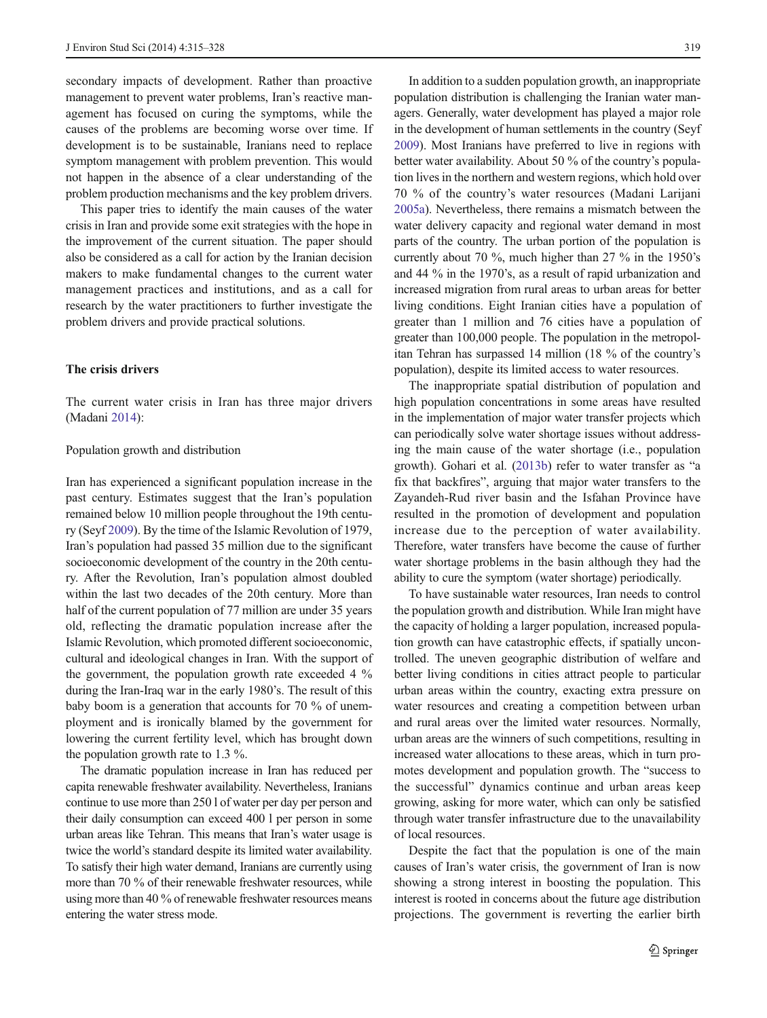<span id="page-4-0"></span>secondary impacts of development. Rather than proactive management to prevent water problems, Iran's reactive management has focused on curing the symptoms, while the causes of the problems are becoming worse over time. If development is to be sustainable, Iranians need to replace symptom management with problem prevention. This would not happen in the absence of a clear understanding of the problem production mechanisms and the key problem drivers.

This paper tries to identify the main causes of the water crisis in Iran and provide some exit strategies with the hope in the improvement of the current situation. The paper should also be considered as a call for action by the Iranian decision makers to make fundamental changes to the current water management practices and institutions, and as a call for research by the water practitioners to further investigate the problem drivers and provide practical solutions.

# The crisis drivers

The current water crisis in Iran has three major drivers (Madani [2014](#page-11-0)):

#### Population growth and distribution

Iran has experienced a significant population increase in the past century. Estimates suggest that the Iran's population remained below 10 million people throughout the 19th century (Seyf [2009\)](#page-12-0). By the time of the Islamic Revolution of 1979, Iran's population had passed 35 million due to the significant socioeconomic development of the country in the 20th century. After the Revolution, Iran's population almost doubled within the last two decades of the 20th century. More than half of the current population of 77 million are under 35 years old, reflecting the dramatic population increase after the Islamic Revolution, which promoted different socioeconomic, cultural and ideological changes in Iran. With the support of the government, the population growth rate exceeded 4 % during the Iran-Iraq war in the early 1980's. The result of this baby boom is a generation that accounts for 70 % of unemployment and is ironically blamed by the government for lowering the current fertility level, which has brought down the population growth rate to 1.3 %.

The dramatic population increase in Iran has reduced per capita renewable freshwater availability. Nevertheless, Iranians continue to use more than 250 l of water per day per person and their daily consumption can exceed 400 l per person in some urban areas like Tehran. This means that Iran's water usage is twice the world's standard despite its limited water availability. To satisfy their high water demand, Iranians are currently using more than 70 % of their renewable freshwater resources, while using more than 40 % of renewable freshwater resources means entering the water stress mode.

In addition to a sudden population growth, an inappropriate population distribution is challenging the Iranian water managers. Generally, water development has played a major role in the development of human settlements in the country (Seyf [2009\)](#page-12-0). Most Iranians have preferred to live in regions with better water availability. About 50 % of the country's population lives in the northern and western regions, which hold over 70 % of the country's water resources (Madani Larijani [2005a\)](#page-11-0). Nevertheless, there remains a mismatch between the water delivery capacity and regional water demand in most parts of the country. The urban portion of the population is currently about 70 %, much higher than 27 % in the 1950's and 44 % in the 1970's, as a result of rapid urbanization and increased migration from rural areas to urban areas for better living conditions. Eight Iranian cities have a population of greater than 1 million and 76 cities have a population of greater than 100,000 people. The population in the metropolitan Tehran has surpassed 14 million (18 % of the country's population), despite its limited access to water resources.

The inappropriate spatial distribution of population and high population concentrations in some areas have resulted in the implementation of major water transfer projects which can periodically solve water shortage issues without addressing the main cause of the water shortage (i.e., population growth). Gohari et al. ([2013b](#page-10-0)) refer to water transfer as "a fix that backfires", arguing that major water transfers to the Zayandeh-Rud river basin and the Isfahan Province have resulted in the promotion of development and population increase due to the perception of water availability. Therefore, water transfers have become the cause of further water shortage problems in the basin although they had the ability to cure the symptom (water shortage) periodically.

To have sustainable water resources, Iran needs to control the population growth and distribution. While Iran might have the capacity of holding a larger population, increased population growth can have catastrophic effects, if spatially uncontrolled. The uneven geographic distribution of welfare and better living conditions in cities attract people to particular urban areas within the country, exacting extra pressure on water resources and creating a competition between urban and rural areas over the limited water resources. Normally, urban areas are the winners of such competitions, resulting in increased water allocations to these areas, which in turn promotes development and population growth. The "success to the successful" dynamics continue and urban areas keep growing, asking for more water, which can only be satisfied through water transfer infrastructure due to the unavailability of local resources.

Despite the fact that the population is one of the main causes of Iran's water crisis, the government of Iran is now showing a strong interest in boosting the population. This interest is rooted in concerns about the future age distribution projections. The government is reverting the earlier birth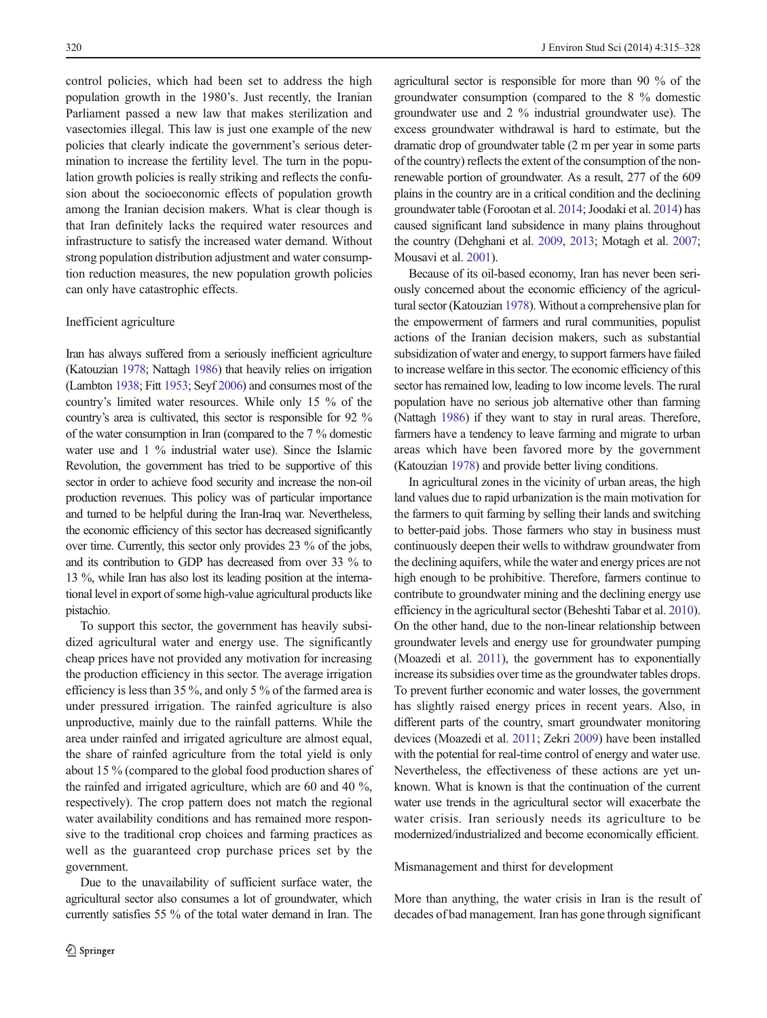control policies, which had been set to address the high population growth in the 1980's. Just recently, the Iranian Parliament passed a new law that makes sterilization and vasectomies illegal. This law is just one example of the new policies that clearly indicate the government's serious determination to increase the fertility level. The turn in the population growth policies is really striking and reflects the confusion about the socioeconomic effects of population growth among the Iranian decision makers. What is clear though is that Iran definitely lacks the required water resources and infrastructure to satisfy the increased water demand. Without strong population distribution adjustment and water consumption reduction measures, the new population growth policies can only have catastrophic effects.

# Inefficient agriculture

Iran has always suffered from a seriously inefficient agriculture (Katouzian [1978](#page-11-0); Nattagh [1986](#page-12-0)) that heavily relies on irrigation (Lambton [1938](#page-11-0); Fitt [1953;](#page-10-0) Seyf [2006](#page-12-0)) and consumes most of the country's limited water resources. While only 15 % of the country's area is cultivated, this sector is responsible for 92 % of the water consumption in Iran (compared to the 7 % domestic water use and 1 % industrial water use). Since the Islamic Revolution, the government has tried to be supportive of this sector in order to achieve food security and increase the non-oil production revenues. This policy was of particular importance and turned to be helpful during the Iran-Iraq war. Nevertheless, the economic efficiency of this sector has decreased significantly over time. Currently, this sector only provides 23 % of the jobs, and its contribution to GDP has decreased from over 33 % to 13 %, while Iran has also lost its leading position at the international level in export of some high-value agricultural products like pistachio.

To support this sector, the government has heavily subsidized agricultural water and energy use. The significantly cheap prices have not provided any motivation for increasing the production efficiency in this sector. The average irrigation efficiency is less than 35 %, and only 5 % of the farmed area is under pressured irrigation. The rainfed agriculture is also unproductive, mainly due to the rainfall patterns. While the area under rainfed and irrigated agriculture are almost equal, the share of rainfed agriculture from the total yield is only about 15 % (compared to the global food production shares of the rainfed and irrigated agriculture, which are 60 and 40 %, respectively). The crop pattern does not match the regional water availability conditions and has remained more responsive to the traditional crop choices and farming practices as well as the guaranteed crop purchase prices set by the government.

Due to the unavailability of sufficient surface water, the agricultural sector also consumes a lot of groundwater, which currently satisfies 55 % of the total water demand in Iran. The

agricultural sector is responsible for more than 90 % of the groundwater consumption (compared to the 8 % domestic groundwater use and 2 % industrial groundwater use). The excess groundwater withdrawal is hard to estimate, but the dramatic drop of groundwater table (2 m per year in some parts of the country) reflects the extent of the consumption of the nonrenewable portion of groundwater. As a result, 277 of the 609 plains in the country are in a critical condition and the declining groundwater table (Forootan et al. [2014;](#page-10-0) Joodaki et al. [2014\)](#page-11-0) has caused significant land subsidence in many plains throughout the country (Dehghani et al. [2009,](#page-9-0) [2013;](#page-9-0) Motagh et al. [2007;](#page-12-0) Mousavi et al. [2001\)](#page-12-0).

Because of its oil-based economy, Iran has never been seriously concerned about the economic efficiency of the agricultural sector (Katouzian [1978](#page-11-0)). Without a comprehensive plan for the empowerment of farmers and rural communities, populist actions of the Iranian decision makers, such as substantial subsidization of water and energy, to support farmers have failed to increase welfare in this sector. The economic efficiency of this sector has remained low, leading to low income levels. The rural population have no serious job alternative other than farming (Nattagh [1986](#page-12-0)) if they want to stay in rural areas. Therefore, farmers have a tendency to leave farming and migrate to urban areas which have been favored more by the government (Katouzian [1978](#page-11-0)) and provide better living conditions.

In agricultural zones in the vicinity of urban areas, the high land values due to rapid urbanization is the main motivation for the farmers to quit farming by selling their lands and switching to better-paid jobs. Those farmers who stay in business must continuously deepen their wells to withdraw groundwater from the declining aquifers, while the water and energy prices are not high enough to be prohibitive. Therefore, farmers continue to contribute to groundwater mining and the declining energy use efficiency in the agricultural sector (Beheshti Tabar et al. [2010\)](#page-9-0). On the other hand, due to the non-linear relationship between groundwater levels and energy use for groundwater pumping (Moazedi et al. [2011\)](#page-12-0), the government has to exponentially increase its subsidies over time as the groundwater tables drops. To prevent further economic and water losses, the government has slightly raised energy prices in recent years. Also, in different parts of the country, smart groundwater monitoring devices (Moazedi et al. [2011;](#page-12-0) Zekri [2009\)](#page-13-0) have been installed with the potential for real-time control of energy and water use. Nevertheless, the effectiveness of these actions are yet unknown. What is known is that the continuation of the current water use trends in the agricultural sector will exacerbate the water crisis. Iran seriously needs its agriculture to be modernized/industrialized and become economically efficient.

#### Mismanagement and thirst for development

More than anything, the water crisis in Iran is the result of decades of bad management. Iran has gone through significant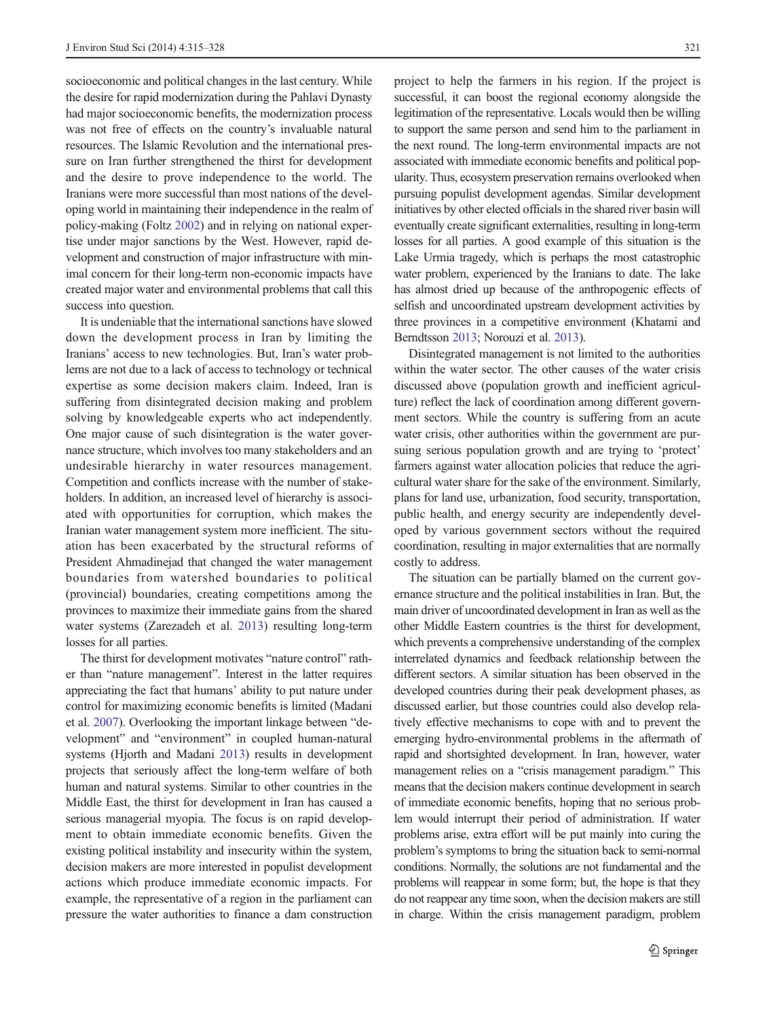socioeconomic and political changes in the last century. While the desire for rapid modernization during the Pahlavi Dynasty had major socioeconomic benefits, the modernization process was not free of effects on the country's invaluable natural resources. The Islamic Revolution and the international pressure on Iran further strengthened the thirst for development and the desire to prove independence to the world. The Iranians were more successful than most nations of the developing world in maintaining their independence in the realm of policy-making (Foltz [2002](#page-10-0)) and in relying on national expertise under major sanctions by the West. However, rapid development and construction of major infrastructure with minimal concern for their long-term non-economic impacts have created major water and environmental problems that call this success into question.

It is undeniable that the international sanctions have slowed down the development process in Iran by limiting the Iranians' access to new technologies. But, Iran's water problems are not due to a lack of access to technology or technical expertise as some decision makers claim. Indeed, Iran is suffering from disintegrated decision making and problem solving by knowledgeable experts who act independently. One major cause of such disintegration is the water governance structure, which involves too many stakeholders and an undesirable hierarchy in water resources management. Competition and conflicts increase with the number of stakeholders. In addition, an increased level of hierarchy is associated with opportunities for corruption, which makes the Iranian water management system more inefficient. The situation has been exacerbated by the structural reforms of President Ahmadinejad that changed the water management boundaries from watershed boundaries to political (provincial) boundaries, creating competitions among the provinces to maximize their immediate gains from the shared water systems (Zarezadeh et al. [2013\)](#page-13-0) resulting long-term losses for all parties.

The thirst for development motivates "nature control" rather than "nature management". Interest in the latter requires appreciating the fact that humans' ability to put nature under control for maximizing economic benefits is limited (Madani et al. [2007](#page-11-0)). Overlooking the important linkage between "development" and "environment" in coupled human-natural systems (Hjorth and Madani [2013](#page-10-0)) results in development projects that seriously affect the long-term welfare of both human and natural systems. Similar to other countries in the Middle East, the thirst for development in Iran has caused a serious managerial myopia. The focus is on rapid development to obtain immediate economic benefits. Given the existing political instability and insecurity within the system, decision makers are more interested in populist development actions which produce immediate economic impacts. For example, the representative of a region in the parliament can pressure the water authorities to finance a dam construction project to help the farmers in his region. If the project is successful, it can boost the regional economy alongside the legitimation of the representative. Locals would then be willing to support the same person and send him to the parliament in the next round. The long-term environmental impacts are not associated with immediate economic benefits and political popularity. Thus, ecosystem preservation remains overlooked when pursuing populist development agendas. Similar development initiatives by other elected officials in the shared river basin will eventually create significant externalities, resulting in long-term losses for all parties. A good example of this situation is the Lake Urmia tragedy, which is perhaps the most catastrophic water problem, experienced by the Iranians to date. The lake has almost dried up because of the anthropogenic effects of selfish and uncoordinated upstream development activities by three provinces in a competitive environment (Khatami and Berndtsson [2013;](#page-11-0) Norouzi et al. [2013\)](#page-12-0).

Disintegrated management is not limited to the authorities within the water sector. The other causes of the water crisis discussed above (population growth and inefficient agriculture) reflect the lack of coordination among different government sectors. While the country is suffering from an acute water crisis, other authorities within the government are pursuing serious population growth and are trying to 'protect' farmers against water allocation policies that reduce the agricultural water share for the sake of the environment. Similarly, plans for land use, urbanization, food security, transportation, public health, and energy security are independently developed by various government sectors without the required coordination, resulting in major externalities that are normally costly to address.

The situation can be partially blamed on the current governance structure and the political instabilities in Iran. But, the main driver of uncoordinated development in Iran as well as the other Middle Eastern countries is the thirst for development, which prevents a comprehensive understanding of the complex interrelated dynamics and feedback relationship between the different sectors. A similar situation has been observed in the developed countries during their peak development phases, as discussed earlier, but those countries could also develop relatively effective mechanisms to cope with and to prevent the emerging hydro-environmental problems in the aftermath of rapid and shortsighted development. In Iran, however, water management relies on a "crisis management paradigm." This means that the decision makers continue development in search of immediate economic benefits, hoping that no serious problem would interrupt their period of administration. If water problems arise, extra effort will be put mainly into curing the problem's symptoms to bring the situation back to semi-normal conditions. Normally, the solutions are not fundamental and the problems will reappear in some form; but, the hope is that they do not reappear any time soon, when the decision makers are still in charge. Within the crisis management paradigm, problem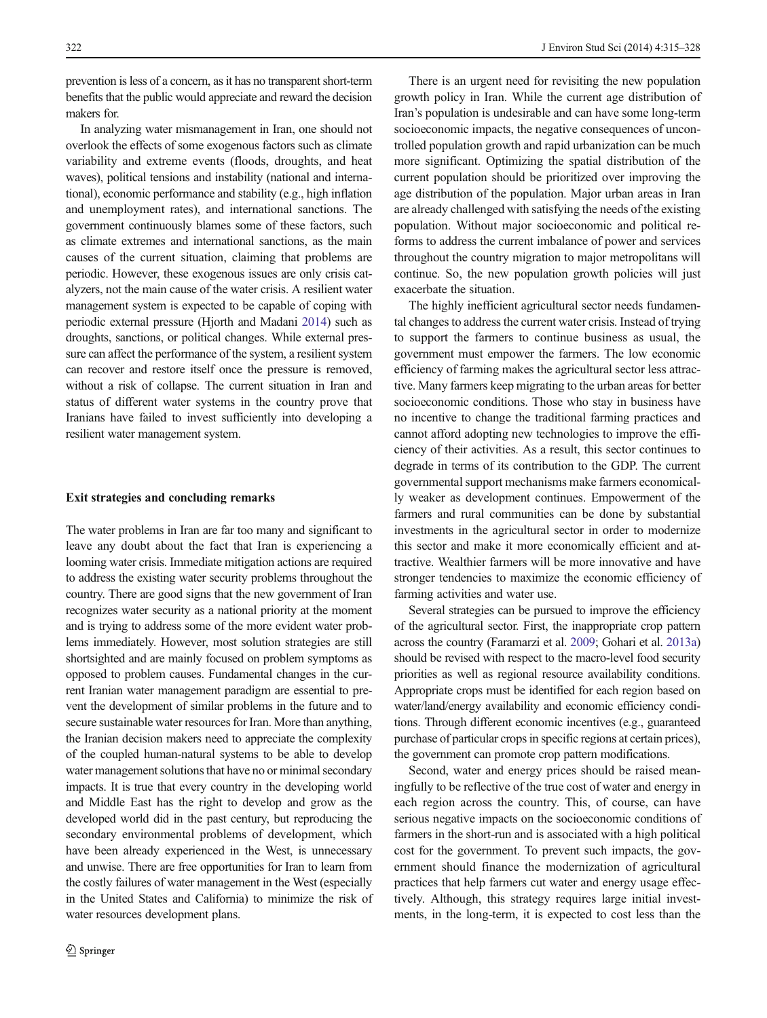prevention is less of a concern, as it has no transparent short-term benefits that the public would appreciate and reward the decision makers for.

In analyzing water mismanagement in Iran, one should not overlook the effects of some exogenous factors such as climate variability and extreme events (floods, droughts, and heat waves), political tensions and instability (national and international), economic performance and stability (e.g., high inflation and unemployment rates), and international sanctions. The government continuously blames some of these factors, such as climate extremes and international sanctions, as the main causes of the current situation, claiming that problems are periodic. However, these exogenous issues are only crisis catalyzers, not the main cause of the water crisis. A resilient water management system is expected to be capable of coping with periodic external pressure (Hjorth and Madani [2014\)](#page-10-0) such as droughts, sanctions, or political changes. While external pressure can affect the performance of the system, a resilient system can recover and restore itself once the pressure is removed, without a risk of collapse. The current situation in Iran and status of different water systems in the country prove that Iranians have failed to invest sufficiently into developing a resilient water management system.

#### Exit strategies and concluding remarks

The water problems in Iran are far too many and significant to leave any doubt about the fact that Iran is experiencing a looming water crisis. Immediate mitigation actions are required to address the existing water security problems throughout the country. There are good signs that the new government of Iran recognizes water security as a national priority at the moment and is trying to address some of the more evident water problems immediately. However, most solution strategies are still shortsighted and are mainly focused on problem symptoms as opposed to problem causes. Fundamental changes in the current Iranian water management paradigm are essential to prevent the development of similar problems in the future and to secure sustainable water resources for Iran. More than anything, the Iranian decision makers need to appreciate the complexity of the coupled human-natural systems to be able to develop water management solutions that have no or minimal secondary impacts. It is true that every country in the developing world and Middle East has the right to develop and grow as the developed world did in the past century, but reproducing the secondary environmental problems of development, which have been already experienced in the West, is unnecessary and unwise. There are free opportunities for Iran to learn from the costly failures of water management in the West (especially in the United States and California) to minimize the risk of water resources development plans.

There is an urgent need for revisiting the new population growth policy in Iran. While the current age distribution of Iran's population is undesirable and can have some long-term socioeconomic impacts, the negative consequences of uncontrolled population growth and rapid urbanization can be much more significant. Optimizing the spatial distribution of the current population should be prioritized over improving the age distribution of the population. Major urban areas in Iran are already challenged with satisfying the needs of the existing population. Without major socioeconomic and political reforms to address the current imbalance of power and services throughout the country migration to major metropolitans will continue. So, the new population growth policies will just exacerbate the situation.

The highly inefficient agricultural sector needs fundamental changes to address the current water crisis. Instead of trying to support the farmers to continue business as usual, the government must empower the farmers. The low economic efficiency of farming makes the agricultural sector less attractive. Many farmers keep migrating to the urban areas for better socioeconomic conditions. Those who stay in business have no incentive to change the traditional farming practices and cannot afford adopting new technologies to improve the efficiency of their activities. As a result, this sector continues to degrade in terms of its contribution to the GDP. The current governmental support mechanisms make farmers economically weaker as development continues. Empowerment of the farmers and rural communities can be done by substantial investments in the agricultural sector in order to modernize this sector and make it more economically efficient and attractive. Wealthier farmers will be more innovative and have stronger tendencies to maximize the economic efficiency of farming activities and water use.

Several strategies can be pursued to improve the efficiency of the agricultural sector. First, the inappropriate crop pattern across the country (Faramarzi et al. [2009](#page-10-0); Gohari et al. [2013a](#page-10-0)) should be revised with respect to the macro-level food security priorities as well as regional resource availability conditions. Appropriate crops must be identified for each region based on water/land/energy availability and economic efficiency conditions. Through different economic incentives (e.g., guaranteed purchase of particular crops in specific regions at certain prices), the government can promote crop pattern modifications.

Second, water and energy prices should be raised meaningfully to be reflective of the true cost of water and energy in each region across the country. This, of course, can have serious negative impacts on the socioeconomic conditions of farmers in the short-run and is associated with a high political cost for the government. To prevent such impacts, the government should finance the modernization of agricultural practices that help farmers cut water and energy usage effectively. Although, this strategy requires large initial investments, in the long-term, it is expected to cost less than the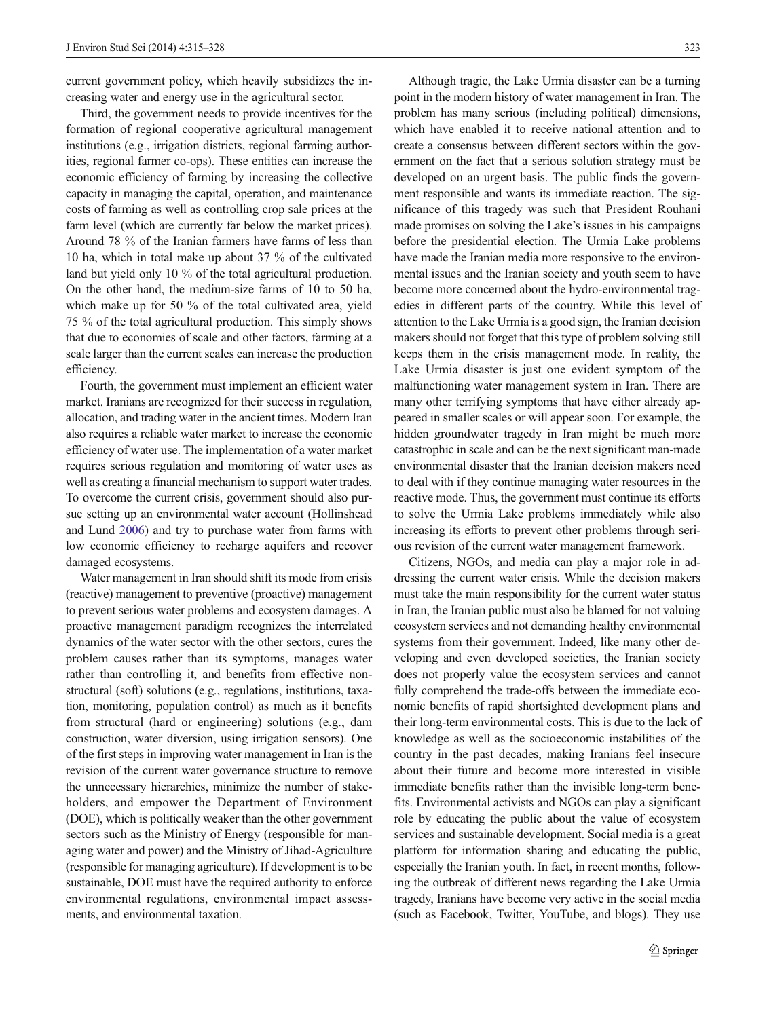current government policy, which heavily subsidizes the increasing water and energy use in the agricultural sector.

Third, the government needs to provide incentives for the formation of regional cooperative agricultural management institutions (e.g., irrigation districts, regional farming authorities, regional farmer co-ops). These entities can increase the economic efficiency of farming by increasing the collective capacity in managing the capital, operation, and maintenance costs of farming as well as controlling crop sale prices at the farm level (which are currently far below the market prices). Around 78 % of the Iranian farmers have farms of less than 10 ha, which in total make up about 37 % of the cultivated land but yield only 10 % of the total agricultural production. On the other hand, the medium-size farms of 10 to 50 ha, which make up for 50 % of the total cultivated area, yield 75 % of the total agricultural production. This simply shows that due to economies of scale and other factors, farming at a scale larger than the current scales can increase the production efficiency.

Fourth, the government must implement an efficient water market. Iranians are recognized for their success in regulation, allocation, and trading water in the ancient times. Modern Iran also requires a reliable water market to increase the economic efficiency of water use. The implementation of a water market requires serious regulation and monitoring of water uses as well as creating a financial mechanism to support water trades. To overcome the current crisis, government should also pursue setting up an environmental water account (Hollinshead and Lund [2006](#page-10-0)) and try to purchase water from farms with low economic efficiency to recharge aquifers and recover damaged ecosystems.

Water management in Iran should shift its mode from crisis (reactive) management to preventive (proactive) management to prevent serious water problems and ecosystem damages. A proactive management paradigm recognizes the interrelated dynamics of the water sector with the other sectors, cures the problem causes rather than its symptoms, manages water rather than controlling it, and benefits from effective nonstructural (soft) solutions (e.g., regulations, institutions, taxation, monitoring, population control) as much as it benefits from structural (hard or engineering) solutions (e.g., dam construction, water diversion, using irrigation sensors). One of the first steps in improving water management in Iran is the revision of the current water governance structure to remove the unnecessary hierarchies, minimize the number of stakeholders, and empower the Department of Environment (DOE), which is politically weaker than the other government sectors such as the Ministry of Energy (responsible for managing water and power) and the Ministry of Jihad-Agriculture (responsible for managing agriculture). If development is to be sustainable, DOE must have the required authority to enforce environmental regulations, environmental impact assessments, and environmental taxation.

Although tragic, the Lake Urmia disaster can be a turning point in the modern history of water management in Iran. The problem has many serious (including political) dimensions, which have enabled it to receive national attention and to create a consensus between different sectors within the government on the fact that a serious solution strategy must be developed on an urgent basis. The public finds the government responsible and wants its immediate reaction. The significance of this tragedy was such that President Rouhani made promises on solving the Lake's issues in his campaigns before the presidential election. The Urmia Lake problems have made the Iranian media more responsive to the environmental issues and the Iranian society and youth seem to have become more concerned about the hydro-environmental tragedies in different parts of the country. While this level of attention to the Lake Urmia is a good sign, the Iranian decision makers should not forget that this type of problem solving still keeps them in the crisis management mode. In reality, the Lake Urmia disaster is just one evident symptom of the malfunctioning water management system in Iran. There are many other terrifying symptoms that have either already appeared in smaller scales or will appear soon. For example, the hidden groundwater tragedy in Iran might be much more catastrophic in scale and can be the next significant man-made environmental disaster that the Iranian decision makers need to deal with if they continue managing water resources in the reactive mode. Thus, the government must continue its efforts to solve the Urmia Lake problems immediately while also increasing its efforts to prevent other problems through serious revision of the current water management framework.

Citizens, NGOs, and media can play a major role in addressing the current water crisis. While the decision makers must take the main responsibility for the current water status in Iran, the Iranian public must also be blamed for not valuing ecosystem services and not demanding healthy environmental systems from their government. Indeed, like many other developing and even developed societies, the Iranian society does not properly value the ecosystem services and cannot fully comprehend the trade-offs between the immediate economic benefits of rapid shortsighted development plans and their long-term environmental costs. This is due to the lack of knowledge as well as the socioeconomic instabilities of the country in the past decades, making Iranians feel insecure about their future and become more interested in visible immediate benefits rather than the invisible long-term benefits. Environmental activists and NGOs can play a significant role by educating the public about the value of ecosystem services and sustainable development. Social media is a great platform for information sharing and educating the public, especially the Iranian youth. In fact, in recent months, following the outbreak of different news regarding the Lake Urmia tragedy, Iranians have become very active in the social media (such as Facebook, Twitter, YouTube, and blogs). They use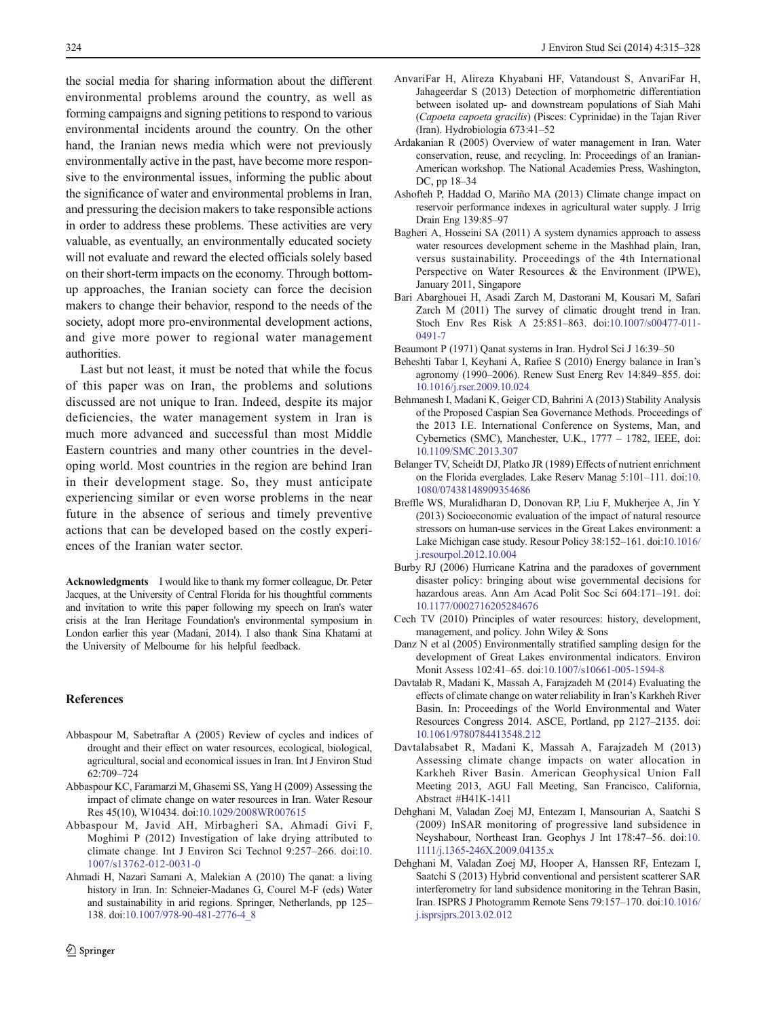<span id="page-9-0"></span>the social media for sharing information about the different environmental problems around the country, as well as forming campaigns and signing petitions to respond to various environmental incidents around the country. On the other hand, the Iranian news media which were not previously environmentally active in the past, have become more responsive to the environmental issues, informing the public about the significance of water and environmental problems in Iran, and pressuring the decision makers to take responsible actions in order to address these problems. These activities are very valuable, as eventually, an environmentally educated society will not evaluate and reward the elected officials solely based on their short-term impacts on the economy. Through bottomup approaches, the Iranian society can force the decision makers to change their behavior, respond to the needs of the society, adopt more pro-environmental development actions, and give more power to regional water management authorities.

Last but not least, it must be noted that while the focus of this paper was on Iran, the problems and solutions discussed are not unique to Iran. Indeed, despite its major deficiencies, the water management system in Iran is much more advanced and successful than most Middle Eastern countries and many other countries in the developing world. Most countries in the region are behind Iran in their development stage. So, they must anticipate experiencing similar or even worse problems in the near future in the absence of serious and timely preventive actions that can be developed based on the costly experiences of the Iranian water sector.

Acknowledgments I would like to thank my former colleague, Dr. Peter Jacques, at the University of Central Florida for his thoughtful comments and invitation to write this paper following my speech on Iran's water crisis at the Iran Heritage Foundation's environmental symposium in London earlier this year (Madani, 2014). I also thank Sina Khatami at the University of Melbourne for his helpful feedback.

## **References**

- Abbaspour M, Sabetraftar A (2005) Review of cycles and indices of drought and their effect on water resources, ecological, biological, agricultural, social and economical issues in Iran. Int J Environ Stud 62:709–724
- Abbaspour KC, Faramarzi M, Ghasemi SS, Yang H (2009) Assessing the impact of climate change on water resources in Iran. Water Resour Res 45(10), W10434. doi[:10.1029/2008WR007615](http://dx.doi.org/10.1029/2008WR007615)
- Abbaspour M, Javid AH, Mirbagheri SA, Ahmadi Givi F, Moghimi P (2012) Investigation of lake drying attributed to climate change. Int J Environ Sci Technol 9:257–266. doi[:10.](http://dx.doi.org/10.1007/s13762-012-0031-0) [1007/s13762-012-0031-0](http://dx.doi.org/10.1007/s13762-012-0031-0)
- Ahmadi H, Nazari Samani A, Malekian A (2010) The qanat: a living history in Iran. In: Schneier-Madanes G, Courel M-F (eds) Water and sustainability in arid regions. Springer, Netherlands, pp 125– 138. doi[:10.1007/978-90-481-2776-4\\_8](http://dx.doi.org/10.1007/978-90-481-2776-4_8)
- AnvariFar H, Alireza Khyabani HF, Vatandoust S, AnvariFar H, Jahageerdar S (2013) Detection of morphometric differentiation between isolated up- and downstream populations of Siah Mahi (Capoeta capoeta gracilis) (Pisces: Cyprinidae) in the Tajan River (Iran). Hydrobiologia 673:41–52
- Ardakanian R (2005) Overview of water management in Iran. Water conservation, reuse, and recycling. In: Proceedings of an Iranian-American workshop. The National Academies Press, Washington, DC, pp 18–34
- Ashofteh P, Haddad O, Mariño MA (2013) Climate change impact on reservoir performance indexes in agricultural water supply. J Irrig Drain Eng 139:85–97
- Bagheri A, Hosseini SA (2011) A system dynamics approach to assess water resources development scheme in the Mashhad plain, Iran, versus sustainability. Proceedings of the 4th International Perspective on Water Resources & the Environment (IPWE), January 2011, Singapore
- Bari Abarghouei H, Asadi Zarch M, Dastorani M, Kousari M, Safari Zarch M (2011) The survey of climatic drought trend in Iran. Stoch Env Res Risk A 25:851–863. doi:[10.1007/s00477-011-](http://dx.doi.org/10.1007/s00477-011-0491-7) [0491-7](http://dx.doi.org/10.1007/s00477-011-0491-7)
- Beaumont P (1971) Qanat systems in Iran. Hydrol Sci J 16:39–50
- Beheshti Tabar I, Keyhani A, Rafiee S (2010) Energy balance in Iran's agronomy (1990–2006). Renew Sust Energ Rev 14:849–855. doi: [10.1016/j.rser.2009.10.024](http://dx.doi.org/10.1016/j.rser.2009.10.024)
- Behmanesh I, Madani K, Geiger CD, Bahrini A (2013) Stability Analysis of the Proposed Caspian Sea Governance Methods. Proceedings of the 2013 I.E. International Conference on Systems, Man, and Cybernetics (SMC), Manchester, U.K., 1777 – 1782, IEEE, doi: [10.1109/SMC.2013.307](http://dx.doi.org/10.1109/SMC.2013.307)
- Belanger TV, Scheidt DJ, Platko JR (1989) Effects of nutrient enrichment on the Florida everglades. Lake Reserv Manag 5:101–111. doi[:10.](http://dx.doi.org/10.1080/07438148909354686) [1080/07438148909354686](http://dx.doi.org/10.1080/07438148909354686)
- Breffle WS, Muralidharan D, Donovan RP, Liu F, Mukherjee A, Jin Y (2013) Socioeconomic evaluation of the impact of natural resource stressors on human-use services in the Great Lakes environment: a Lake Michigan case study. Resour Policy 38:152–161. doi[:10.1016/](http://dx.doi.org/10.1016/j.resourpol.2012.10.004) [j.resourpol.2012.10.004](http://dx.doi.org/10.1016/j.resourpol.2012.10.004)
- Burby RJ (2006) Hurricane Katrina and the paradoxes of government disaster policy: bringing about wise governmental decisions for hazardous areas. Ann Am Acad Polit Soc Sci 604:171–191. doi: [10.1177/0002716205284676](http://dx.doi.org/10.1177/0002716205284676)
- Cech TV (2010) Principles of water resources: history, development, management, and policy. John Wiley & Sons
- Danz N et al (2005) Environmentally stratified sampling design for the development of Great Lakes environmental indicators. Environ Monit Assess 102:41–65. doi[:10.1007/s10661-005-1594-8](http://dx.doi.org/10.1007/s10661-005-1594-8)
- Davtalab R, Madani K, Massah A, Farajzadeh M (2014) Evaluating the effects of climate change on water reliability in Iran's Karkheh River Basin. In: Proceedings of the World Environmental and Water Resources Congress 2014. ASCE, Portland, pp 2127–2135. doi: [10.1061/9780784413548.212](http://dx.doi.org/10.1061/9780784413548.212)
- Davtalabsabet R, Madani K, Massah A, Farajzadeh M (2013) Assessing climate change impacts on water allocation in Karkheh River Basin. American Geophysical Union Fall Meeting 2013, AGU Fall Meeting, San Francisco, California, Abstract #H41K-1411
- Dehghani M, Valadan Zoej MJ, Entezam I, Mansourian A, Saatchi S (2009) InSAR monitoring of progressive land subsidence in Neyshabour, Northeast Iran. Geophys J Int 178:47–56. doi:[10.](http://dx.doi.org/10.1111/j.1365-246X.2009.04135.x) [1111/j.1365-246X.2009.04135.x](http://dx.doi.org/10.1111/j.1365-246X.2009.04135.x)
- Dehghani M, Valadan Zoej MJ, Hooper A, Hanssen RF, Entezam I, Saatchi S (2013) Hybrid conventional and persistent scatterer SAR interferometry for land subsidence monitoring in the Tehran Basin, Iran. ISPRS J Photogramm Remote Sens 79:157–170. doi[:10.1016/](http://dx.doi.org/10.1016/j.isprsjprs.2013.02.012) [j.isprsjprs.2013.02.012](http://dx.doi.org/10.1016/j.isprsjprs.2013.02.012)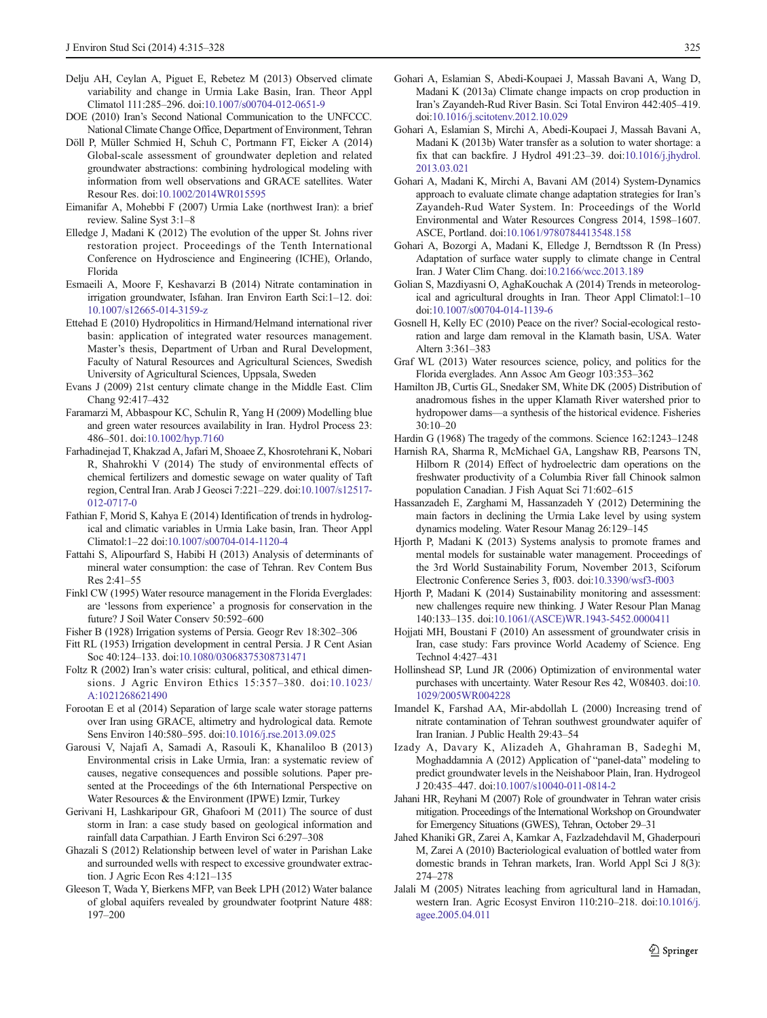- <span id="page-10-0"></span>Delju AH, Ceylan A, Piguet E, Rebetez M (2013) Observed climate variability and change in Urmia Lake Basin, Iran. Theor Appl Climatol 111:285–296. doi:[10.1007/s00704-012-0651-9](http://dx.doi.org/10.1007/s00704-012-0651-9)
- DOE (2010) Iran's Second National Communication to the UNFCCC. National Climate Change Office, Department of Environment, Tehran
- Döll P, Müller Schmied H, Schuh C, Portmann FT, Eicker A (2014) Global-scale assessment of groundwater depletion and related groundwater abstractions: combining hydrological modeling with information from well observations and GRACE satellites. Water Resour Res. doi:[10.1002/2014WR015595](http://dx.doi.org/10.1002/2014WR015595)
- Eimanifar A, Mohebbi F (2007) Urmia Lake (northwest Iran): a brief review. Saline Syst 3:1–8
- Elledge J, Madani K (2012) The evolution of the upper St. Johns river restoration project. Proceedings of the Tenth International Conference on Hydroscience and Engineering (ICHE), Orlando, Florida
- Esmaeili A, Moore F, Keshavarzi B (2014) Nitrate contamination in irrigation groundwater, Isfahan. Iran Environ Earth Sci:1–12. doi: [10.1007/s12665-014-3159-z](http://dx.doi.org/10.1007/s12665-014-3159-z)
- Ettehad E (2010) Hydropolitics in Hirmand/Helmand international river basin: application of integrated water resources management. Master's thesis, Department of Urban and Rural Development, Faculty of Natural Resources and Agricultural Sciences, Swedish University of Agricultural Sciences, Uppsala, Sweden
- Evans J (2009) 21st century climate change in the Middle East. Clim Chang 92:417–432
- Faramarzi M, Abbaspour KC, Schulin R, Yang H (2009) Modelling blue and green water resources availability in Iran. Hydrol Process 23: 486–501. doi[:10.1002/hyp.7160](http://dx.doi.org/10.1002/hyp.7160)
- Farhadinejad T, Khakzad A, Jafari M, Shoaee Z, Khosrotehrani K, Nobari R, Shahrokhi V (2014) The study of environmental effects of chemical fertilizers and domestic sewage on water quality of Taft region, Central Iran. Arab J Geosci 7:221–229. doi:[10.1007/s12517-](http://dx.doi.org/10.1007/s12517-012-0717-0) [012-0717-0](http://dx.doi.org/10.1007/s12517-012-0717-0)
- Fathian F, Morid S, Kahya E (2014) Identification of trends in hydrological and climatic variables in Urmia Lake basin, Iran. Theor Appl Climatol:1–22 doi[:10.1007/s00704-014-1120-4](http://dx.doi.org/10.1007/s00704-014-1120-4)
- Fattahi S, Alipourfard S, Habibi H (2013) Analysis of determinants of mineral water consumption: the case of Tehran. Rev Contem Bus Res 2:41–55
- Finkl CW (1995) Water resource management in the Florida Everglades: are 'lessons from experience' a prognosis for conservation in the future? J Soil Water Conserv 50:592–600
- Fisher B (1928) Irrigation systems of Persia. Geogr Rev 18:302–306
- Fitt RL (1953) Irrigation development in central Persia. J R Cent Asian Soc 40:124–133. doi[:10.1080/03068375308731471](http://dx.doi.org/10.1080/03068375308731471)
- Foltz R (2002) Iran's water crisis: cultural, political, and ethical dimensions. J Agric Environ Ethics 15:357–380. doi:[10.1023/](http://dx.doi.org/10.1023/A:1021268621490) [A:1021268621490](http://dx.doi.org/10.1023/A:1021268621490)
- Forootan E et al (2014) Separation of large scale water storage patterns over Iran using GRACE, altimetry and hydrological data. Remote Sens Environ 140:580–595. doi[:10.1016/j.rse.2013.09.025](http://dx.doi.org/10.1016/j.rse.2013.09.025)
- Garousi V, Najafi A, Samadi A, Rasouli K, Khanaliloo B (2013) Environmental crisis in Lake Urmia, Iran: a systematic review of causes, negative consequences and possible solutions. Paper presented at the Proceedings of the 6th International Perspective on Water Resources & the Environment (IPWE) Izmir, Turkey
- Gerivani H, Lashkaripour GR, Ghafoori M (2011) The source of dust storm in Iran: a case study based on geological information and rainfall data Carpathian. J Earth Environ Sci 6:297–308
- Ghazali S (2012) Relationship between level of water in Parishan Lake and surrounded wells with respect to excessive groundwater extraction. J Agric Econ Res 4:121–135
- Gleeson T, Wada Y, Bierkens MFP, van Beek LPH (2012) Water balance of global aquifers revealed by groundwater footprint Nature 488: 197–200
- Gohari A, Eslamian S, Abedi-Koupaei J, Massah Bavani A, Wang D, Madani K (2013a) Climate change impacts on crop production in Iran's Zayandeh-Rud River Basin. Sci Total Environ 442:405–419. doi:[10.1016/j.scitotenv.2012.10.029](http://dx.doi.org/10.1016/j.scitotenv.2012.10.029)
- Gohari A, Eslamian S, Mirchi A, Abedi-Koupaei J, Massah Bavani A, Madani K (2013b) Water transfer as a solution to water shortage: a fix that can backfire. J Hydrol 491:23–39. doi[:10.1016/j.jhydrol.](http://dx.doi.org/10.1016/j.jhydrol.2013.03.021) [2013.03.021](http://dx.doi.org/10.1016/j.jhydrol.2013.03.021)
- Gohari A, Madani K, Mirchi A, Bavani AM (2014) System-Dynamics approach to evaluate climate change adaptation strategies for Iran's Zayandeh-Rud Water System. In: Proceedings of the World Environmental and Water Resources Congress 2014, 1598–1607. ASCE, Portland. doi[:10.1061/9780784413548.158](http://dx.doi.org/10.1061/9780784413548.158)
- Gohari A, Bozorgi A, Madani K, Elledge J, Berndtsson R (In Press) Adaptation of surface water supply to climate change in Central Iran. J Water Clim Chang. doi:[10.2166/wcc.2013.189](http://dx.doi.org/10.2166/wcc.2013.189)
- Golian S, Mazdiyasni O, AghaKouchak A (2014) Trends in meteorological and agricultural droughts in Iran. Theor Appl Climatol:1–10 doi:[10.1007/s00704-014-1139-6](http://dx.doi.org/10.1007/s00704-014-1139-6)
- Gosnell H, Kelly EC (2010) Peace on the river? Social-ecological restoration and large dam removal in the Klamath basin, USA. Water Altern 3:361–383
- Graf WL (2013) Water resources science, policy, and politics for the Florida everglades. Ann Assoc Am Geogr 103:353–362
- Hamilton JB, Curtis GL, Snedaker SM, White DK (2005) Distribution of anadromous fishes in the upper Klamath River watershed prior to hydropower dams—a synthesis of the historical evidence. Fisheries 30:10–20
- Hardin G (1968) The tragedy of the commons. Science 162:1243–1248
- Harnish RA, Sharma R, McMichael GA, Langshaw RB, Pearsons TN, Hilborn R (2014) Effect of hydroelectric dam operations on the freshwater productivity of a Columbia River fall Chinook salmon population Canadian. J Fish Aquat Sci 71:602–615
- Hassanzadeh E, Zarghami M, Hassanzadeh Y (2012) Determining the main factors in declining the Urmia Lake level by using system dynamics modeling. Water Resour Manag 26:129–145
- Hjorth P, Madani K (2013) Systems analysis to promote frames and mental models for sustainable water management. Proceedings of the 3rd World Sustainability Forum, November 2013, Sciforum Electronic Conference Series 3, f003. doi[:10.3390/wsf3-f003](http://dx.doi.org/10.3390/wsf3-f003)
- Hjorth P, Madani K (2014) Sustainability monitoring and assessment: new challenges require new thinking. J Water Resour Plan Manag 140:133–135. doi:[10.1061/\(ASCE\)WR.1943-5452.0000411](http://dx.doi.org/10.1061/(ASCE)WR.1943-5452.0000411)
- Hojjati MH, Boustani F (2010) An assessment of groundwater crisis in Iran, case study: Fars province World Academy of Science. Eng Technol 4:427–431
- Hollinshead SP, Lund JR (2006) Optimization of environmental water purchases with uncertainty. Water Resour Res 42, W08403. doi[:10.](http://dx.doi.org/10.1029/2005WR004228) [1029/2005WR004228](http://dx.doi.org/10.1029/2005WR004228)
- Imandel K, Farshad AA, Mir-abdollah L (2000) Increasing trend of nitrate contamination of Tehran southwest groundwater aquifer of Iran Iranian. J Public Health 29:43–54
- Izady A, Davary K, Alizadeh A, Ghahraman B, Sadeghi M, Moghaddamnia A (2012) Application of "panel-data" modeling to predict groundwater levels in the Neishaboor Plain, Iran. Hydrogeol J 20:435–447. doi[:10.1007/s10040-011-0814-2](http://dx.doi.org/10.1007/s10040-011-0814-2)
- Jahani HR, Reyhani M (2007) Role of groundwater in Tehran water crisis mitigation. Proceedings of the International Workshop on Groundwater for Emergency Situations (GWES), Tehran, October 29–31
- Jahed Khaniki GR, Zarei A, Kamkar A, Fazlzadehdavil M, Ghaderpouri M, Zarei A (2010) Bacteriological evaluation of bottled water from domestic brands in Tehran markets, Iran. World Appl Sci J 8(3): 274–278
- Jalali M (2005) Nitrates leaching from agricultural land in Hamadan, western Iran. Agric Ecosyst Environ 110:210–218. doi:[10.1016/j.](http://dx.doi.org/10.1016/j.agee.2005.04.011) [agee.2005.04.011](http://dx.doi.org/10.1016/j.agee.2005.04.011)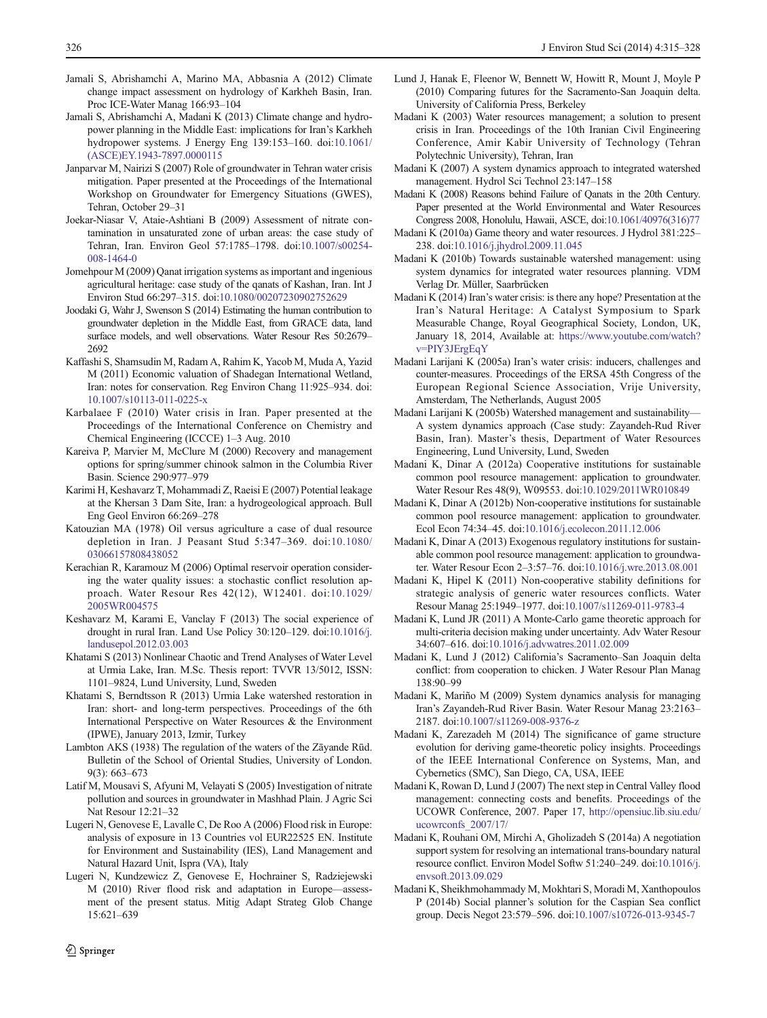- <span id="page-11-0"></span>Jamali S, Abrishamchi A, Marino MA, Abbasnia A (2012) Climate change impact assessment on hydrology of Karkheh Basin, Iran. Proc ICE-Water Manag 166:93–104
- Jamali S, Abrishamchi A, Madani K (2013) Climate change and hydropower planning in the Middle East: implications for Iran's Karkheh hydropower systems. J Energy Eng 139:153–160. doi[:10.1061/](http://dx.doi.org/10.1061/(ASCE)EY.1943-7897.0000115) [\(ASCE\)EY.1943-7897.0000115](http://dx.doi.org/10.1061/(ASCE)EY.1943-7897.0000115)
- Janparvar M, Nairizi S (2007) Role of groundwater in Tehran water crisis mitigation. Paper presented at the Proceedings of the International Workshop on Groundwater for Emergency Situations (GWES), Tehran, October 29–31
- Joekar-Niasar V, Ataie-Ashtiani B (2009) Assessment of nitrate contamination in unsaturated zone of urban areas: the case study of Tehran, Iran. Environ Geol 57:1785–1798. doi:[10.1007/s00254-](http://dx.doi.org/10.1007/s00254-008-1464-0) [008-1464-0](http://dx.doi.org/10.1007/s00254-008-1464-0)
- Jomehpour M (2009) Qanat irrigation systems as important and ingenious agricultural heritage: case study of the qanats of Kashan, Iran. Int J Environ Stud 66:297–315. doi[:10.1080/00207230902752629](http://dx.doi.org/10.1080/00207230902752629)
- Joodaki G, Wahr J, Swenson S (2014) Estimating the human contribution to groundwater depletion in the Middle East, from GRACE data, land surface models, and well observations. Water Resour Res 50:2679– 2692
- Kaffashi S, Shamsudin M, Radam A, Rahim K, Yacob M, Muda A, Yazid M (2011) Economic valuation of Shadegan International Wetland, Iran: notes for conservation. Reg Environ Chang 11:925–934. doi: [10.1007/s10113-011-0225-x](http://dx.doi.org/10.1007/s10113-011-0225-x)
- Karbalaee F (2010) Water crisis in Iran. Paper presented at the Proceedings of the International Conference on Chemistry and Chemical Engineering (ICCCE) 1–3 Aug. 2010
- Kareiva P, Marvier M, McClure M (2000) Recovery and management options for spring/summer chinook salmon in the Columbia River Basin. Science 290:977–979
- Karimi H, Keshavarz T, Mohammadi Z, Raeisi E (2007) Potential leakage at the Khersan 3 Dam Site, Iran: a hydrogeological approach. Bull Eng Geol Environ 66:269–278
- Katouzian MA (1978) Oil versus agriculture a case of dual resource depletion in Iran. J Peasant Stud 5:347–369. doi:[10.1080/](http://dx.doi.org/10.1080/03066157808438052) [03066157808438052](http://dx.doi.org/10.1080/03066157808438052)
- Kerachian R, Karamouz M (2006) Optimal reservoir operation considering the water quality issues: a stochastic conflict resolution approach. Water Resour Res 42(12), W12401. doi:[10.1029/](http://dx.doi.org/10.1029/2005WR004575) [2005WR004575](http://dx.doi.org/10.1029/2005WR004575)
- Keshavarz M, Karami E, Vanclay F (2013) The social experience of drought in rural Iran. Land Use Policy 30:120–129. doi:[10.1016/j.](http://dx.doi.org/10.1016/j.landusepol.2012.03.003) [landusepol.2012.03.003](http://dx.doi.org/10.1016/j.landusepol.2012.03.003)
- Khatami S (2013) Nonlinear Chaotic and Trend Analyses of Water Level at Urmia Lake, Iran. M.Sc. Thesis report: TVVR 13/5012, ISSN: 1101–9824, Lund University, Lund, Sweden
- Khatami S, Berndtsson R (2013) Urmia Lake watershed restoration in Iran: short- and long-term perspectives. Proceedings of the 6th International Perspective on Water Resources & the Environment (IPWE), January 2013, Izmir, Turkey
- Lambton AKS (1938) The regulation of the waters of the Zāyande Rūd. Bulletin of the School of Oriental Studies, University of London. 9(3): 663–673
- Latif M, Mousavi S, Afyuni M, Velayati S (2005) Investigation of nitrate pollution and sources in groundwater in Mashhad Plain. J Agric Sci Nat Resour 12:21–32
- Lugeri N, Genovese E, Lavalle C, De Roo A (2006) Flood risk in Europe: analysis of exposure in 13 Countries vol EUR22525 EN. Institute for Environment and Sustainability (IES), Land Management and Natural Hazard Unit, Ispra (VA), Italy
- Lugeri N, Kundzewicz Z, Genovese E, Hochrainer S, Radziejewski M (2010) River flood risk and adaptation in Europe—assessment of the present status. Mitig Adapt Strateg Glob Change 15:621–639
- Lund J, Hanak E, Fleenor W, Bennett W, Howitt R, Mount J, Moyle P (2010) Comparing futures for the Sacramento-San Joaquin delta. University of California Press, Berkeley
- Madani K (2003) Water resources management; a solution to present crisis in Iran. Proceedings of the 10th Iranian Civil Engineering Conference, Amir Kabir University of Technology (Tehran Polytechnic University), Tehran, Iran
- Madani K (2007) A system dynamics approach to integrated watershed management. Hydrol Sci Technol 23:147–158
- Madani K (2008) Reasons behind Failure of Qanats in the 20th Century. Paper presented at the World Environmental and Water Resources Congress 2008, Honolulu, Hawaii, ASCE, doi[:10.1061/40976\(316\)77](http://dx.doi.org/10.1061/40976(316)77)
- Madani K (2010a) Game theory and water resources. J Hydrol 381:225– 238. doi[:10.1016/j.jhydrol.2009.11.045](http://dx.doi.org/10.1016/j.jhydrol.2009.11.045)
- Madani K (2010b) Towards sustainable watershed management: using system dynamics for integrated water resources planning. VDM Verlag Dr. Müller, Saarbrücken
- Madani K (2014) Iran's water crisis: is there any hope? Presentation at the Iran's Natural Heritage: A Catalyst Symposium to Spark Measurable Change, Royal Geographical Society, London, UK, January 18, 2014, Available at: [https://www.youtube.com/watch?](https://www.youtube.com/watch?v=PIY3JErgEqY) [v=PIY3JErgEqY](https://www.youtube.com/watch?v=PIY3JErgEqY)
- Madani Larijani K (2005a) Iran's water crisis: inducers, challenges and counter-measures. Proceedings of the ERSA 45th Congress of the European Regional Science Association, Vrije University, Amsterdam, The Netherlands, August 2005
- Madani Larijani K (2005b) Watershed management and sustainability— A system dynamics approach (Case study: Zayandeh-Rud River Basin, Iran). Master's thesis, Department of Water Resources Engineering, Lund University, Lund, Sweden
- Madani K, Dinar A (2012a) Cooperative institutions for sustainable common pool resource management: application to groundwater. Water Resour Res 48(9), W09553. doi[:10.1029/2011WR010849](http://dx.doi.org/10.1029/2011WR010849)
- Madani K, Dinar A (2012b) Non-cooperative institutions for sustainable common pool resource management: application to groundwater. Ecol Econ 74:34–45. doi:[10.1016/j.ecolecon.2011.12.006](http://dx.doi.org/10.1016/j.ecolecon.2011.12.006)
- Madani K, Dinar A (2013) Exogenous regulatory institutions for sustainable common pool resource management: application to groundwater. Water Resour Econ 2–3:57–76. doi[:10.1016/j.wre.2013.08.001](http://dx.doi.org/10.1016/j.wre.2013.08.001)
- Madani K, Hipel K (2011) Non-cooperative stability definitions for strategic analysis of generic water resources conflicts. Water Resour Manag 25:1949–1977. doi[:10.1007/s11269-011-9783-4](http://dx.doi.org/10.1007/s11269-011-9783-4)
- Madani K, Lund JR (2011) A Monte-Carlo game theoretic approach for multi-criteria decision making under uncertainty. Adv Water Resour 34:607–616. doi[:10.1016/j.advwatres.2011.02.009](http://dx.doi.org/10.1016/j.advwatres.2011.02.009)
- Madani K, Lund J (2012) California's Sacramento–San Joaquin delta conflict: from cooperation to chicken. J Water Resour Plan Manag 138:90–99
- Madani K, Mariño M (2009) System dynamics analysis for managing Iran's Zayandeh-Rud River Basin. Water Resour Manag 23:2163– 2187. doi:[10.1007/s11269-008-9376-z](http://dx.doi.org/10.1007/s11269-008-9376-z)
- Madani K, Zarezadeh M (2014) The significance of game structure evolution for deriving game-theoretic policy insights. Proceedings of the IEEE International Conference on Systems, Man, and Cybernetics (SMC), San Diego, CA, USA, IEEE
- Madani K, Rowan D, Lund J (2007) The next step in Central Valley flood management: connecting costs and benefits. Proceedings of the UCOWR Conference, 2007. Paper 17, [http://opensiuc.lib.siu.edu/](http://opensiuc.lib.siu.edu/ucowrconfs_2007/17/) [ucowrconfs\\_2007/17/](http://opensiuc.lib.siu.edu/ucowrconfs_2007/17/)
- Madani K, Rouhani OM, Mirchi A, Gholizadeh S (2014a) A negotiation support system for resolving an international trans-boundary natural resource conflict. Environ Model Softw 51:240–249. doi:[10.1016/j.](http://dx.doi.org/10.1016/j.envsoft.2013.09.029) [envsoft.2013.09.029](http://dx.doi.org/10.1016/j.envsoft.2013.09.029)
- Madani K, Sheikhmohammady M, Mokhtari S, Moradi M, Xanthopoulos P (2014b) Social planner's solution for the Caspian Sea conflict group. Decis Negot 23:579–596. doi[:10.1007/s10726-013-9345-7](http://dx.doi.org/10.1007/s10726-013-9345-7)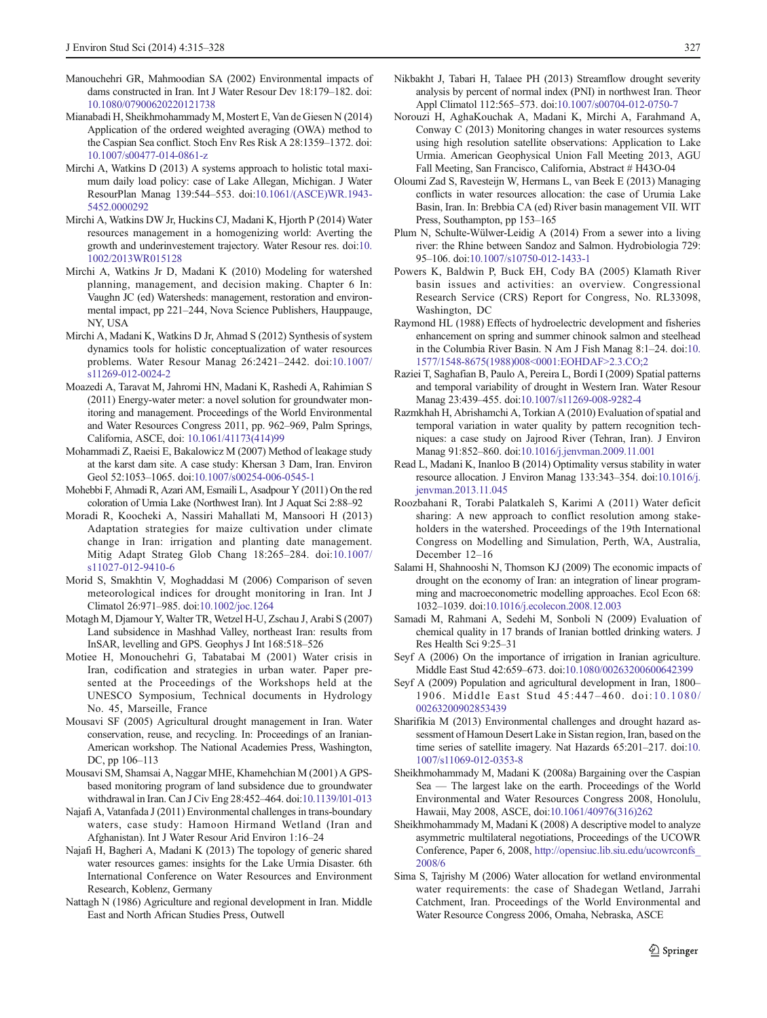- <span id="page-12-0"></span>Manouchehri GR, Mahmoodian SA (2002) Environmental impacts of dams constructed in Iran. Int J Water Resour Dev 18:179–182. doi: [10.1080/07900620220121738](http://dx.doi.org/10.1080/07900620220121738)
- Mianabadi H, Sheikhmohammady M, Mostert E, Van de Giesen N (2014) Application of the ordered weighted averaging (OWA) method to the Caspian Sea conflict. Stoch Env Res Risk A 28:1359–1372. doi: [10.1007/s00477-014-0861-z](http://dx.doi.org/10.1007/s00477-014-0861-z)
- Mirchi A, Watkins D (2013) A systems approach to holistic total maximum daily load policy: case of Lake Allegan, Michigan. J Water ResourPlan Manag 139:544–553. doi[:10.1061/\(ASCE\)WR.1943-](http://dx.doi.org/10.1061/(ASCE)WR.1943-5452.0000292) [5452.0000292](http://dx.doi.org/10.1061/(ASCE)WR.1943-5452.0000292)
- Mirchi A, Watkins DW Jr, Huckins CJ, Madani K, Hjorth P (2014) Water resources management in a homogenizing world: Averting the growth and underinvestement trajectory. Water Resour res. doi:[10.](http://dx.doi.org/10.1002/2013WR015128) [1002/2013WR015128](http://dx.doi.org/10.1002/2013WR015128)
- Mirchi A, Watkins Jr D, Madani K (2010) Modeling for watershed planning, management, and decision making. Chapter 6 In: Vaughn JC (ed) Watersheds: management, restoration and environmental impact, pp 221–244, Nova Science Publishers, Hauppauge, NY, USA
- Mirchi A, Madani K, Watkins D Jr, Ahmad S (2012) Synthesis of system dynamics tools for holistic conceptualization of water resources problems. Water Resour Manag 26:2421–2442. doi[:10.1007/](http://dx.doi.org/10.1007/s11269-012-0024-2) [s11269-012-0024-2](http://dx.doi.org/10.1007/s11269-012-0024-2)
- Moazedi A, Taravat M, Jahromi HN, Madani K, Rashedi A, Rahimian S (2011) Energy-water meter: a novel solution for groundwater monitoring and management. Proceedings of the World Environmental and Water Resources Congress 2011, pp. 962–969, Palm Springs, California, ASCE, doi: [10.1061/41173\(414\)99](http://dx.doi.org/10.1061/41173(414)99)
- Mohammadi Z, Raeisi E, Bakalowicz M (2007) Method of leakage study at the karst dam site. A case study: Khersan 3 Dam, Iran. Environ Geol 52:1053–1065. doi[:10.1007/s00254-006-0545-1](http://dx.doi.org/10.1007/s00254-006-0545-1)
- Mohebbi F, Ahmadi R, Azari AM, Esmaili L, Asadpour Y (2011) On the red coloration of Urmia Lake (Northwest Iran). Int J Aquat Sci 2:88–92
- Moradi R, Koocheki A, Nassiri Mahallati M, Mansoori H (2013) Adaptation strategies for maize cultivation under climate change in Iran: irrigation and planting date management. Mitig Adapt Strateg Glob Chang 18:265–284. doi:[10.1007/](http://dx.doi.org/10.1007/s11027-012-9410-6) [s11027-012-9410-6](http://dx.doi.org/10.1007/s11027-012-9410-6)
- Morid S, Smakhtin V, Moghaddasi M (2006) Comparison of seven meteorological indices for drought monitoring in Iran. Int J Climatol 26:971–985. doi[:10.1002/joc.1264](http://dx.doi.org/10.1002/joc.1264)
- Motagh M, Djamour Y, Walter TR, Wetzel H-U, Zschau J, Arabi S (2007) Land subsidence in Mashhad Valley, northeast Iran: results from InSAR, levelling and GPS. Geophys J Int 168:518–526
- Motiee H, Monouchehri G, Tabatabai M (2001) Water crisis in Iran, codification and strategies in urban water. Paper presented at the Proceedings of the Workshops held at the UNESCO Symposium, Technical documents in Hydrology No. 45, Marseille, France
- Mousavi SF (2005) Agricultural drought management in Iran. Water conservation, reuse, and recycling. In: Proceedings of an Iranian-American workshop. The National Academies Press, Washington, DC, pp 106–113
- Mousavi SM, Shamsai A, Naggar MHE, Khamehchian M (2001) A GPSbased monitoring program of land subsidence due to groundwater withdrawal in Iran. Can J Civ Eng 28:452–464. doi:[10.1139/l01-013](http://dx.doi.org/10.1139/l01-013)
- Najafi A, Vatanfada J (2011) Environmental challenges in trans-boundary waters, case study: Hamoon Hirmand Wetland (Iran and Afghanistan). Int J Water Resour Arid Environ 1:16–24
- Najafi H, Bagheri A, Madani K (2013) The topology of generic shared water resources games: insights for the Lake Urmia Disaster. 6th International Conference on Water Resources and Environment Research, Koblenz, Germany
- Nattagh N (1986) Agriculture and regional development in Iran. Middle East and North African Studies Press, Outwell
- Nikbakht J, Tabari H, Talaee PH (2013) Streamflow drought severity analysis by percent of normal index (PNI) in northwest Iran. Theor Appl Climatol 112:565–573. doi:[10.1007/s00704-012-0750-7](http://dx.doi.org/10.1007/s00704-012-0750-7)
- Norouzi H, AghaKouchak A, Madani K, Mirchi A, Farahmand A, Conway C (2013) Monitoring changes in water resources systems using high resolution satellite observations: Application to Lake Urmia. American Geophysical Union Fall Meeting 2013, AGU Fall Meeting, San Francisco, California, Abstract # H43O-04
- Oloumi Zad S, Ravesteijn W, Hermans L, van Beek E (2013) Managing conflicts in water resources allocation: the case of Urumia Lake Basin, Iran. In: Brebbia CA (ed) River basin management VII. WIT Press, Southampton, pp 153–165
- Plum N, Schulte-Wülwer-Leidig A (2014) From a sewer into a living river: the Rhine between Sandoz and Salmon. Hydrobiologia 729: 95–106. doi[:10.1007/s10750-012-1433-1](http://dx.doi.org/10.1007/s10750-012-1433-1)
- Powers K, Baldwin P, Buck EH, Cody BA (2005) Klamath River basin issues and activities: an overview. Congressional Research Service (CRS) Report for Congress, No. RL33098, Washington, DC
- Raymond HL (1988) Effects of hydroelectric development and fisheries enhancement on spring and summer chinook salmon and steelhead in the Columbia River Basin. N Am J Fish Manag 8:1–24. doi[:10.](http://dx.doi.org/10.1577/1548-8675(1988)008%3C0001:EOHDAF%3E2.3.CO;2) [1577/1548-8675\(1988\)008<0001:EOHDAF>2.3.CO;2](http://dx.doi.org/10.1577/1548-8675(1988)008%3C0001:EOHDAF%3E2.3.CO;2)
- Raziei T, Saghafian B, Paulo A, Pereira L, Bordi I (2009) Spatial patterns and temporal variability of drought in Western Iran. Water Resour Manag 23:439–455. doi:[10.1007/s11269-008-9282-4](http://dx.doi.org/10.1007/s11269-008-9282-4)
- Razmkhah H, Abrishamchi A, Torkian A (2010) Evaluation of spatial and temporal variation in water quality by pattern recognition techniques: a case study on Jajrood River (Tehran, Iran). J Environ Manag 91:852–860. doi:[10.1016/j.jenvman.2009.11.001](http://dx.doi.org/10.1016/j.jenvman.2009.11.001)
- Read L, Madani K, Inanloo B (2014) Optimality versus stability in water resource allocation. J Environ Manag 133:343–354. doi:[10.1016/j.](http://dx.doi.org/10.1016/j.jenvman.2013.11.045) [jenvman.2013.11.045](http://dx.doi.org/10.1016/j.jenvman.2013.11.045)
- Roozbahani R, Torabi Palatkaleh S, Karimi A (2011) Water deficit sharing: A new approach to conflict resolution among stakeholders in the watershed. Proceedings of the 19th International Congress on Modelling and Simulation, Perth, WA, Australia, December 12–16
- Salami H, Shahnooshi N, Thomson KJ (2009) The economic impacts of drought on the economy of Iran: an integration of linear programming and macroeconometric modelling approaches. Ecol Econ 68: 1032–1039. doi[:10.1016/j.ecolecon.2008.12.003](http://dx.doi.org/10.1016/j.ecolecon.2008.12.003)
- Samadi M, Rahmani A, Sedehi M, Sonboli N (2009) Evaluation of chemical quality in 17 brands of Iranian bottled drinking waters. J Res Health Sci 9:25–31
- Seyf A (2006) On the importance of irrigation in Iranian agriculture. Middle East Stud 42:659–673. doi[:10.1080/00263200600642399](http://dx.doi.org/10.1080/00263200600642399)
- Seyf A (2009) Population and agricultural development in Iran, 1800– 1906. Middle East Stud 45:447–460. doi:[10.1080/](http://dx.doi.org/10.1080/00263200902853439) [00263200902853439](http://dx.doi.org/10.1080/00263200902853439)
- Sharifikia M (2013) Environmental challenges and drought hazard assessment of Hamoun Desert Lake in Sistan region, Iran, based on the time series of satellite imagery. Nat Hazards 65:201–217. doi[:10.](http://dx.doi.org/10.1007/s11069-012-0353-8) [1007/s11069-012-0353-8](http://dx.doi.org/10.1007/s11069-012-0353-8)
- Sheikhmohammady M, Madani K (2008a) Bargaining over the Caspian Sea — The largest lake on the earth. Proceedings of the World Environmental and Water Resources Congress 2008, Honolulu, Hawaii, May 2008, ASCE, doi[:10.1061/40976\(316\)262](http://dx.doi.org/10.1061/40976(316)262)
- Sheikhmohammady M, Madani K (2008) A descriptive model to analyze asymmetric multilateral negotiations, Proceedings of the UCOWR Conference, Paper 6, 2008, [http://opensiuc.lib.siu.edu/ucowrconfs\\_](http://opensiuc.lib.siu.edu/ucowrconfs_2008/6) [2008/6](http://opensiuc.lib.siu.edu/ucowrconfs_2008/6)
- Sima S, Tajrishy M (2006) Water allocation for wetland environmental water requirements: the case of Shadegan Wetland, Jarrahi Catchment, Iran. Proceedings of the World Environmental and Water Resource Congress 2006, Omaha, Nebraska, ASCE